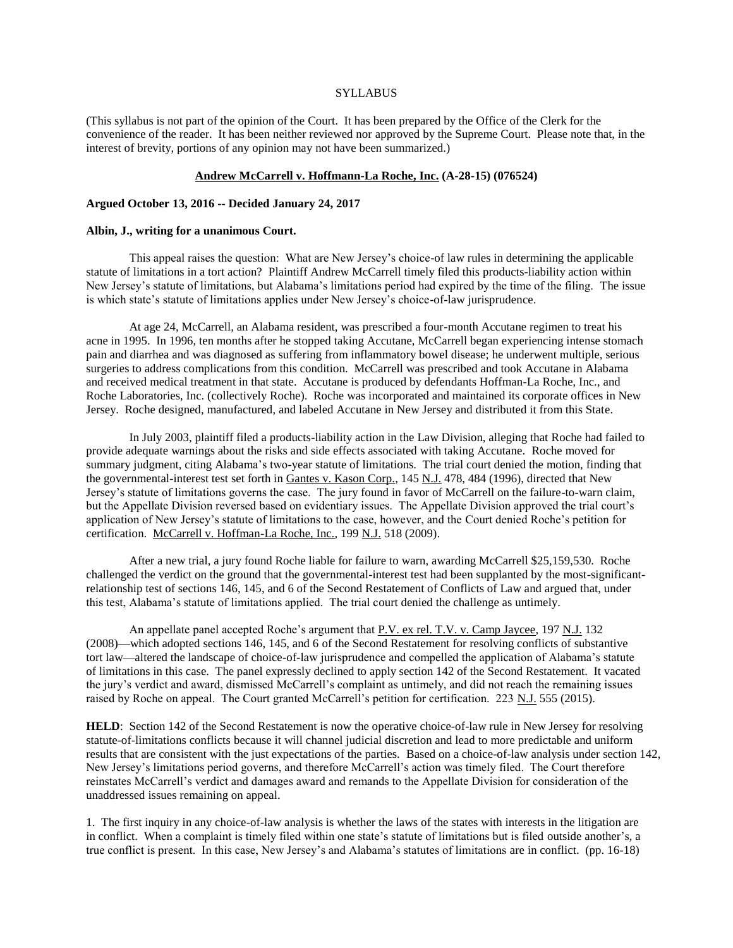#### **SYLLABUS**

(This syllabus is not part of the opinion of the Court. It has been prepared by the Office of the Clerk for the convenience of the reader. It has been neither reviewed nor approved by the Supreme Court. Please note that, in the interest of brevity, portions of any opinion may not have been summarized.)

#### **Andrew McCarrell v. Hoffmann-La Roche, Inc. (A-28-15) (076524)**

#### **Argued October 13, 2016 -- Decided January 24, 2017**

### **Albin, J., writing for a unanimous Court.**

This appeal raises the question: What are New Jersey's choice-of law rules in determining the applicable statute of limitations in a tort action? Plaintiff Andrew McCarrell timely filed this products-liability action within New Jersey's statute of limitations, but Alabama's limitations period had expired by the time of the filing. The issue is which state's statute of limitations applies under New Jersey's choice-of-law jurisprudence.

At age 24, McCarrell, an Alabama resident, was prescribed a four-month Accutane regimen to treat his acne in 1995. In 1996, ten months after he stopped taking Accutane, McCarrell began experiencing intense stomach pain and diarrhea and was diagnosed as suffering from inflammatory bowel disease; he underwent multiple, serious surgeries to address complications from this condition. McCarrell was prescribed and took Accutane in Alabama and received medical treatment in that state. Accutane is produced by defendants Hoffman-La Roche, Inc., and Roche Laboratories, Inc. (collectively Roche). Roche was incorporated and maintained its corporate offices in New Jersey. Roche designed, manufactured, and labeled Accutane in New Jersey and distributed it from this State.

In July 2003, plaintiff filed a products-liability action in the Law Division, alleging that Roche had failed to provide adequate warnings about the risks and side effects associated with taking Accutane. Roche moved for summary judgment, citing Alabama's two-year statute of limitations. The trial court denied the motion, finding that the governmental-interest test set forth in Gantes v. Kason Corp., 145 N.J. 478, 484 (1996), directed that New Jersey's statute of limitations governs the case. The jury found in favor of McCarrell on the failure-to-warn claim, but the Appellate Division reversed based on evidentiary issues. The Appellate Division approved the trial court's application of New Jersey's statute of limitations to the case, however, and the Court denied Roche's petition for certification. McCarrell v. Hoffman-La Roche, Inc., 199 N.J. 518 (2009).

After a new trial, a jury found Roche liable for failure to warn, awarding McCarrell \$25,159,530. Roche challenged the verdict on the ground that the governmental-interest test had been supplanted by the most-significantrelationship test of sections 146, 145, and 6 of the Second Restatement of Conflicts of Law and argued that, under this test, Alabama's statute of limitations applied. The trial court denied the challenge as untimely.

An appellate panel accepted Roche's argument that P.V. ex rel. T.V. v. Camp Jaycee, 197 N.J. 132 (2008)—which adopted sections 146, 145, and 6 of the Second Restatement for resolving conflicts of substantive tort law—altered the landscape of choice-of-law jurisprudence and compelled the application of Alabama's statute of limitations in this case. The panel expressly declined to apply section 142 of the Second Restatement. It vacated the jury's verdict and award, dismissed McCarrell's complaint as untimely, and did not reach the remaining issues raised by Roche on appeal. The Court granted McCarrell's petition for certification. 223 N.J. 555 (2015).

**HELD:** Section 142 of the Second Restatement is now the operative choice-of-law rule in New Jersey for resolving statute-of-limitations conflicts because it will channel judicial discretion and lead to more predictable and uniform results that are consistent with the just expectations of the parties. Based on a choice-of-law analysis under section 142, New Jersey's limitations period governs, and therefore McCarrell's action was timely filed. The Court therefore reinstates McCarrell's verdict and damages award and remands to the Appellate Division for consideration of the unaddressed issues remaining on appeal.

1. The first inquiry in any choice-of-law analysis is whether the laws of the states with interests in the litigation are in conflict. When a complaint is timely filed within one state's statute of limitations but is filed outside another's, a true conflict is present. In this case, New Jersey's and Alabama's statutes of limitations are in conflict. (pp. 16-18)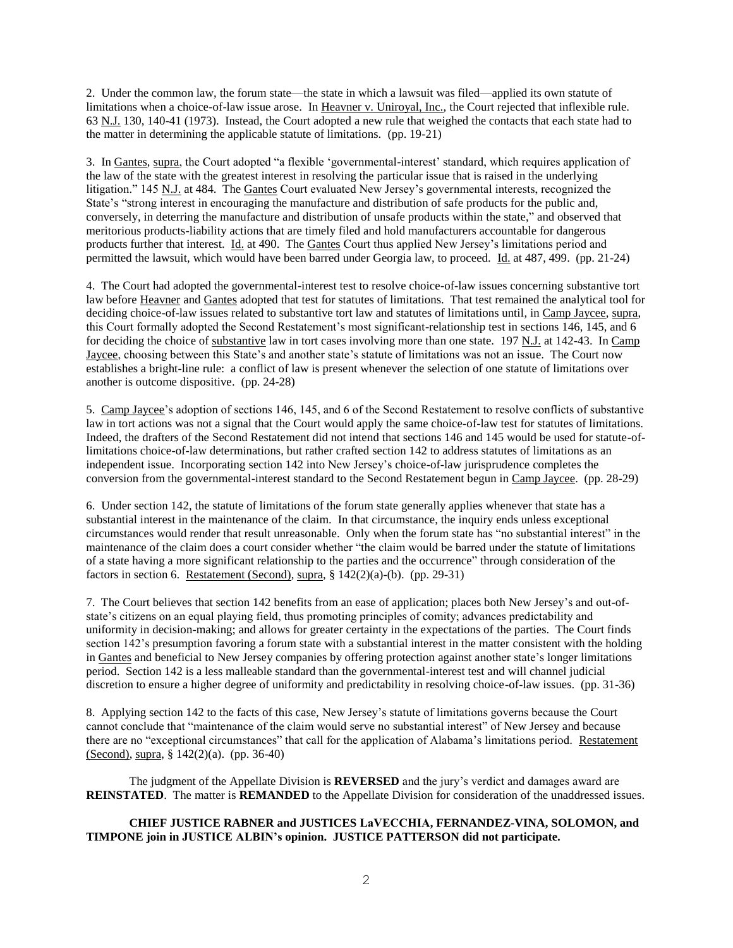2. Under the common law, the forum state—the state in which a lawsuit was filed—applied its own statute of limitations when a choice-of-law issue arose. In Heavner v. Uniroyal, Inc., the Court rejected that inflexible rule. 63 N.J. 130, 140-41 (1973). Instead, the Court adopted a new rule that weighed the contacts that each state had to the matter in determining the applicable statute of limitations. (pp. 19-21)

3. In Gantes, supra, the Court adopted "a flexible 'governmental-interest' standard, which requires application of the law of the state with the greatest interest in resolving the particular issue that is raised in the underlying litigation." 145 N.J. at 484. The Gantes Court evaluated New Jersey's governmental interests, recognized the State's "strong interest in encouraging the manufacture and distribution of safe products for the public and, conversely, in deterring the manufacture and distribution of unsafe products within the state," and observed that meritorious products-liability actions that are timely filed and hold manufacturers accountable for dangerous products further that interest. Id. at 490. The Gantes Court thus applied New Jersey's limitations period and permitted the lawsuit, which would have been barred under Georgia law, to proceed. Id. at 487, 499. (pp. 21-24)

4. The Court had adopted the governmental-interest test to resolve choice-of-law issues concerning substantive tort law before Heavner and Gantes adopted that test for statutes of limitations. That test remained the analytical tool for deciding choice-of-law issues related to substantive tort law and statutes of limitations until, in Camp Jaycee, supra, this Court formally adopted the Second Restatement's most significant-relationship test in sections 146, 145, and 6 for deciding the choice of substantive law in tort cases involving more than one state. 197 N.J. at 142-43. In Camp Jaycee, choosing between this State's and another state's statute of limitations was not an issue. The Court now establishes a bright-line rule: a conflict of law is present whenever the selection of one statute of limitations over another is outcome dispositive. (pp. 24-28)

5. Camp Jaycee's adoption of sections 146, 145, and 6 of the Second Restatement to resolve conflicts of substantive law in tort actions was not a signal that the Court would apply the same choice-of-law test for statutes of limitations. Indeed, the drafters of the Second Restatement did not intend that sections 146 and 145 would be used for statute-oflimitations choice-of-law determinations, but rather crafted section 142 to address statutes of limitations as an independent issue. Incorporating section 142 into New Jersey's choice-of-law jurisprudence completes the conversion from the governmental-interest standard to the Second Restatement begun in Camp Jaycee. (pp. 28-29)

6. Under section 142, the statute of limitations of the forum state generally applies whenever that state has a substantial interest in the maintenance of the claim. In that circumstance, the inquiry ends unless exceptional circumstances would render that result unreasonable. Only when the forum state has "no substantial interest" in the maintenance of the claim does a court consider whether "the claim would be barred under the statute of limitations of a state having a more significant relationship to the parties and the occurrence" through consideration of the factors in section 6. Restatement (Second), supra,  $\S 142(2)(a)-(b)$ . (pp. 29-31)

7. The Court believes that section 142 benefits from an ease of application; places both New Jersey's and out-ofstate's citizens on an equal playing field, thus promoting principles of comity; advances predictability and uniformity in decision-making; and allows for greater certainty in the expectations of the parties. The Court finds section 142's presumption favoring a forum state with a substantial interest in the matter consistent with the holding in Gantes and beneficial to New Jersey companies by offering protection against another state's longer limitations period. Section 142 is a less malleable standard than the governmental-interest test and will channel judicial discretion to ensure a higher degree of uniformity and predictability in resolving choice-of-law issues. (pp. 31-36)

8. Applying section 142 to the facts of this case, New Jersey's statute of limitations governs because the Court cannot conclude that "maintenance of the claim would serve no substantial interest" of New Jersey and because there are no "exceptional circumstances" that call for the application of Alabama's limitations period. Restatement (Second), supra, § 142(2)(a). (pp. 36-40)

The judgment of the Appellate Division is **REVERSED** and the jury's verdict and damages award are **REINSTATED**. The matter is **REMANDED** to the Appellate Division for consideration of the unaddressed issues.

# **CHIEF JUSTICE RABNER and JUSTICES LaVECCHIA, FERNANDEZ-VINA, SOLOMON, and TIMPONE join in JUSTICE ALBIN's opinion. JUSTICE PATTERSON did not participate.**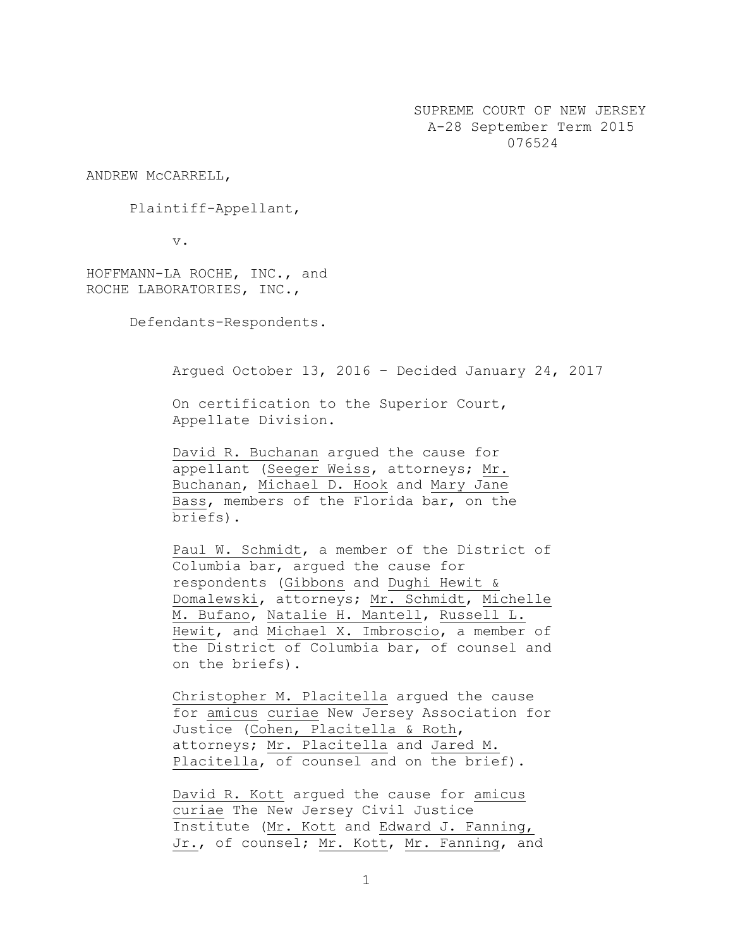SUPREME COURT OF NEW JERSEY A-28 September Term 2015 076524

ANDREW McCARRELL,

Plaintiff-Appellant,

v.

HOFFMANN-LA ROCHE, INC., and ROCHE LABORATORIES, INC.,

Defendants-Respondents.

Argued October 13, 2016 – Decided January 24, 2017

On certification to the Superior Court, Appellate Division.

David R. Buchanan argued the cause for appellant (Seeger Weiss, attorneys; Mr. Buchanan, Michael D. Hook and Mary Jane Bass, members of the Florida bar, on the briefs).

Paul W. Schmidt, a member of the District of Columbia bar, argued the cause for respondents (Gibbons and Dughi Hewit & Domalewski, attorneys; Mr. Schmidt, Michelle M. Bufano, Natalie H. Mantell, Russell L. Hewit, and Michael X. Imbroscio, a member of the District of Columbia bar, of counsel and on the briefs).

Christopher M. Placitella argued the cause for amicus curiae New Jersey Association for Justice (Cohen, Placitella & Roth, attorneys; Mr. Placitella and Jared M. Placitella, of counsel and on the brief).

David R. Kott argued the cause for amicus curiae The New Jersey Civil Justice Institute (Mr. Kott and Edward J. Fanning, Jr., of counsel; Mr. Kott, Mr. Fanning, and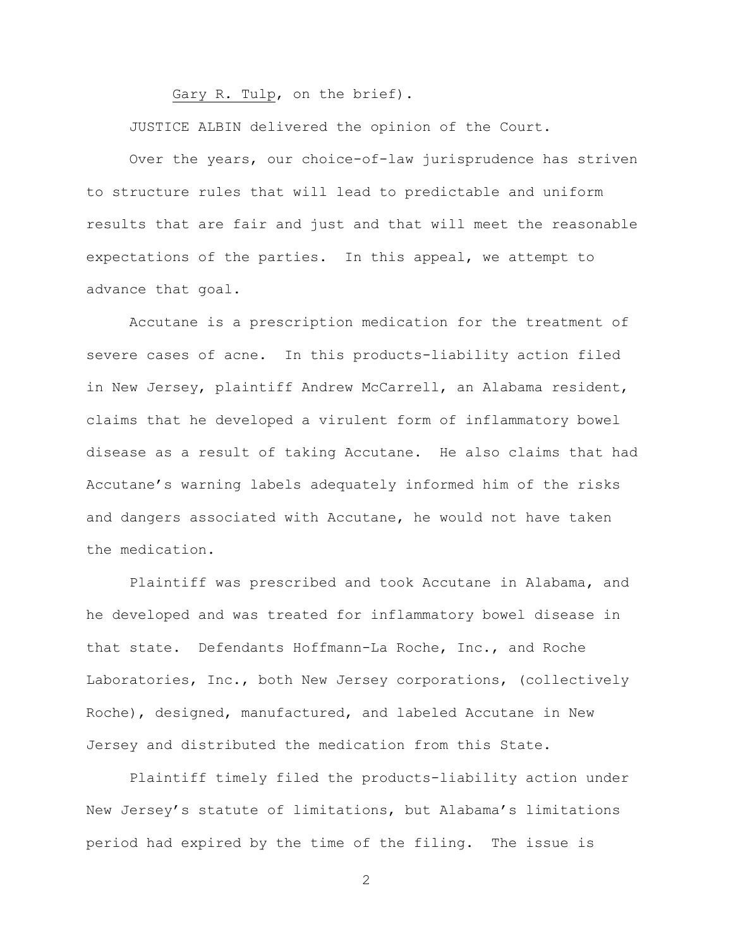Gary R. Tulp, on the brief).

JUSTICE ALBIN delivered the opinion of the Court.

Over the years, our choice-of-law jurisprudence has striven to structure rules that will lead to predictable and uniform results that are fair and just and that will meet the reasonable expectations of the parties. In this appeal, we attempt to advance that goal.

Accutane is a prescription medication for the treatment of severe cases of acne. In this products-liability action filed in New Jersey, plaintiff Andrew McCarrell, an Alabama resident, claims that he developed a virulent form of inflammatory bowel disease as a result of taking Accutane. He also claims that had Accutane's warning labels adequately informed him of the risks and dangers associated with Accutane, he would not have taken the medication.

Plaintiff was prescribed and took Accutane in Alabama, and he developed and was treated for inflammatory bowel disease in that state. Defendants Hoffmann-La Roche, Inc., and Roche Laboratories, Inc., both New Jersey corporations, (collectively Roche), designed, manufactured, and labeled Accutane in New Jersey and distributed the medication from this State.

Plaintiff timely filed the products-liability action under New Jersey's statute of limitations, but Alabama's limitations period had expired by the time of the filing. The issue is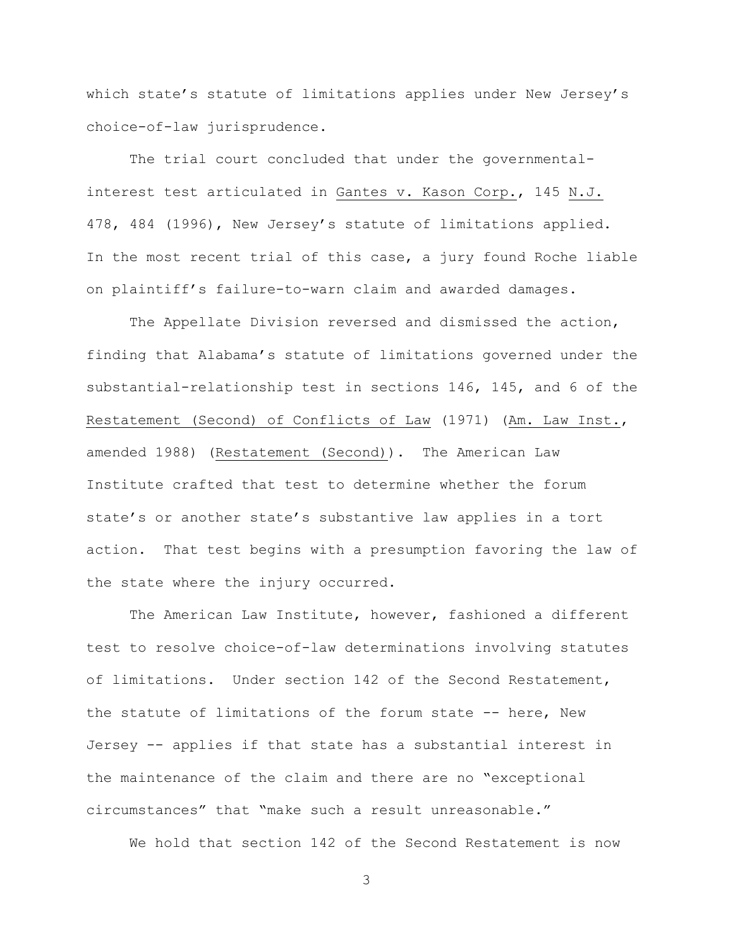which state's statute of limitations applies under New Jersey's choice-of-law jurisprudence.

The trial court concluded that under the governmentalinterest test articulated in Gantes v. Kason Corp., 145 N.J. 478, 484 (1996), New Jersey's statute of limitations applied. In the most recent trial of this case, a jury found Roche liable on plaintiff's failure-to-warn claim and awarded damages.

The Appellate Division reversed and dismissed the action, finding that Alabama's statute of limitations governed under the substantial-relationship test in sections 146, 145, and 6 of the Restatement (Second) of Conflicts of Law (1971) (Am. Law Inst., amended 1988) (Restatement (Second)). The American Law Institute crafted that test to determine whether the forum state's or another state's substantive law applies in a tort action. That test begins with a presumption favoring the law of the state where the injury occurred.

The American Law Institute, however, fashioned a different test to resolve choice-of-law determinations involving statutes of limitations. Under section 142 of the Second Restatement, the statute of limitations of the forum state -- here, New Jersey -- applies if that state has a substantial interest in the maintenance of the claim and there are no "exceptional circumstances" that "make such a result unreasonable."

We hold that section 142 of the Second Restatement is now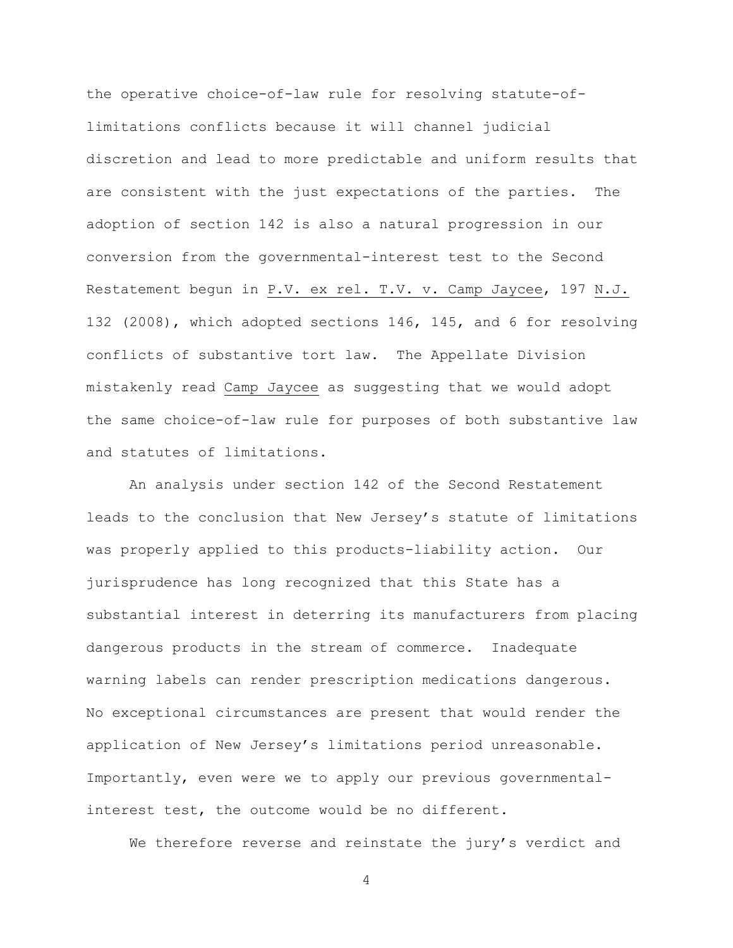the operative choice-of-law rule for resolving statute-oflimitations conflicts because it will channel judicial discretion and lead to more predictable and uniform results that are consistent with the just expectations of the parties. The adoption of section 142 is also a natural progression in our conversion from the governmental-interest test to the Second Restatement begun in P.V. ex rel. T.V. v. Camp Jaycee, 197 N.J. 132 (2008), which adopted sections 146, 145, and 6 for resolving conflicts of substantive tort law. The Appellate Division mistakenly read Camp Jaycee as suggesting that we would adopt the same choice-of-law rule for purposes of both substantive law and statutes of limitations.

An analysis under section 142 of the Second Restatement leads to the conclusion that New Jersey's statute of limitations was properly applied to this products-liability action. Our jurisprudence has long recognized that this State has a substantial interest in deterring its manufacturers from placing dangerous products in the stream of commerce. Inadequate warning labels can render prescription medications dangerous. No exceptional circumstances are present that would render the application of New Jersey's limitations period unreasonable. Importantly, even were we to apply our previous governmentalinterest test, the outcome would be no different.

We therefore reverse and reinstate the jury's verdict and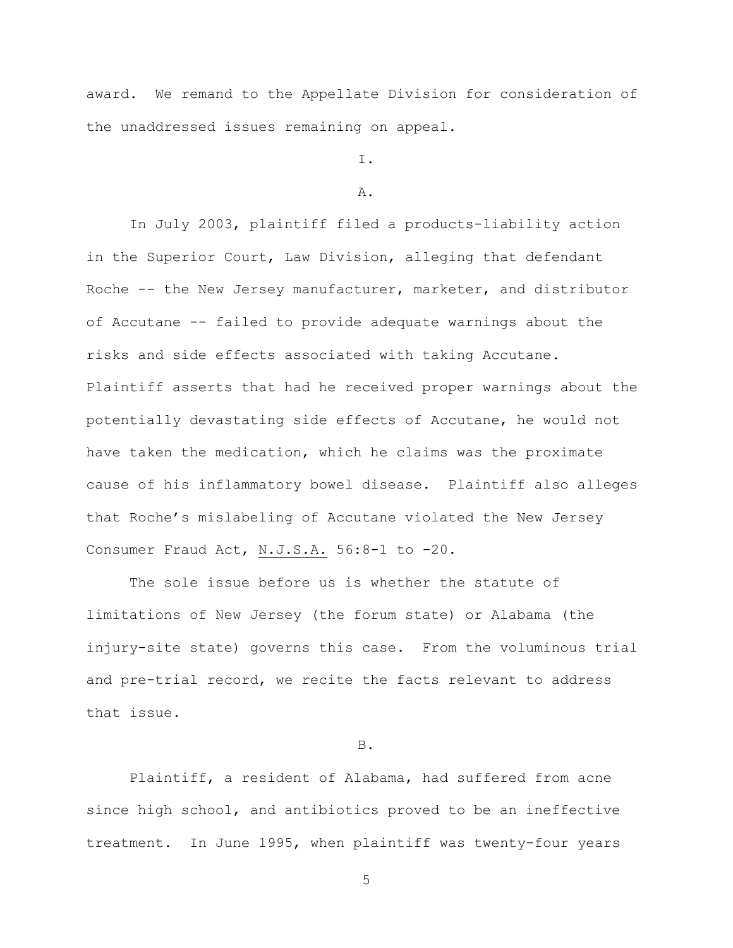award. We remand to the Appellate Division for consideration of the unaddressed issues remaining on appeal.

I.

#### A.

In July 2003, plaintiff filed a products-liability action in the Superior Court, Law Division, alleging that defendant Roche -- the New Jersey manufacturer, marketer, and distributor of Accutane -- failed to provide adequate warnings about the risks and side effects associated with taking Accutane. Plaintiff asserts that had he received proper warnings about the potentially devastating side effects of Accutane, he would not have taken the medication, which he claims was the proximate cause of his inflammatory bowel disease. Plaintiff also alleges that Roche's mislabeling of Accutane violated the New Jersey Consumer Fraud Act, N.J.S.A. 56:8-1 to -20.

The sole issue before us is whether the statute of limitations of New Jersey (the forum state) or Alabama (the injury-site state) governs this case. From the voluminous trial and pre-trial record, we recite the facts relevant to address that issue.

# B.

Plaintiff, a resident of Alabama, had suffered from acne since high school, and antibiotics proved to be an ineffective treatment. In June 1995, when plaintiff was twenty-four years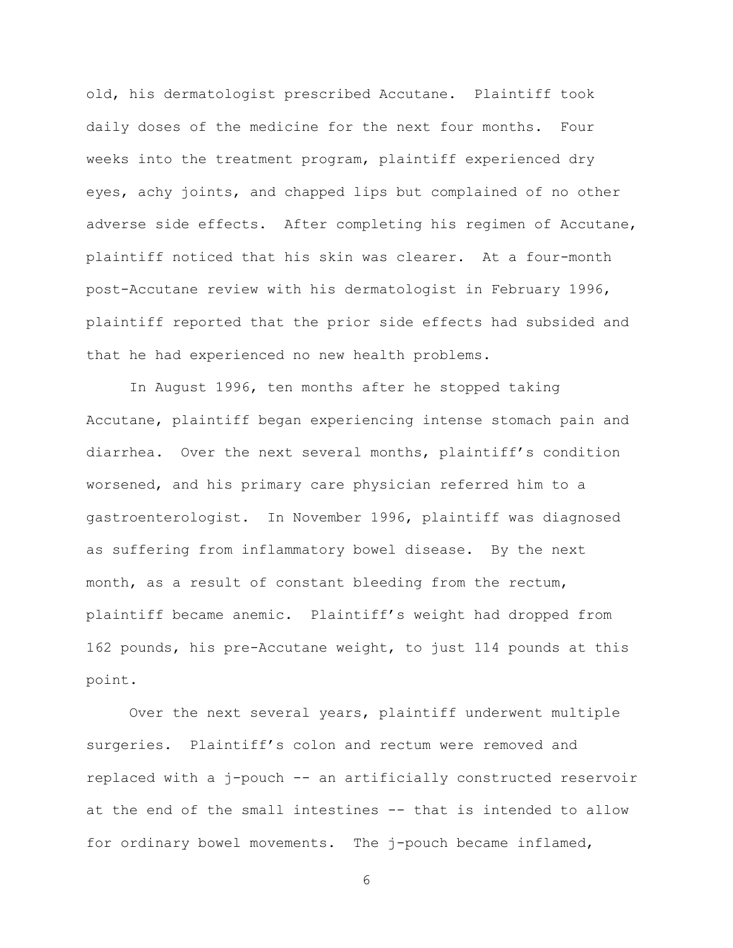old, his dermatologist prescribed Accutane. Plaintiff took daily doses of the medicine for the next four months. Four weeks into the treatment program, plaintiff experienced dry eyes, achy joints, and chapped lips but complained of no other adverse side effects. After completing his regimen of Accutane, plaintiff noticed that his skin was clearer. At a four-month post-Accutane review with his dermatologist in February 1996, plaintiff reported that the prior side effects had subsided and that he had experienced no new health problems.

In August 1996, ten months after he stopped taking Accutane, plaintiff began experiencing intense stomach pain and diarrhea. Over the next several months, plaintiff's condition worsened, and his primary care physician referred him to a gastroenterologist. In November 1996, plaintiff was diagnosed as suffering from inflammatory bowel disease. By the next month, as a result of constant bleeding from the rectum, plaintiff became anemic. Plaintiff's weight had dropped from 162 pounds, his pre-Accutane weight, to just 114 pounds at this point.

Over the next several years, plaintiff underwent multiple surgeries. Plaintiff's colon and rectum were removed and replaced with a j-pouch -- an artificially constructed reservoir at the end of the small intestines -- that is intended to allow for ordinary bowel movements. The j-pouch became inflamed,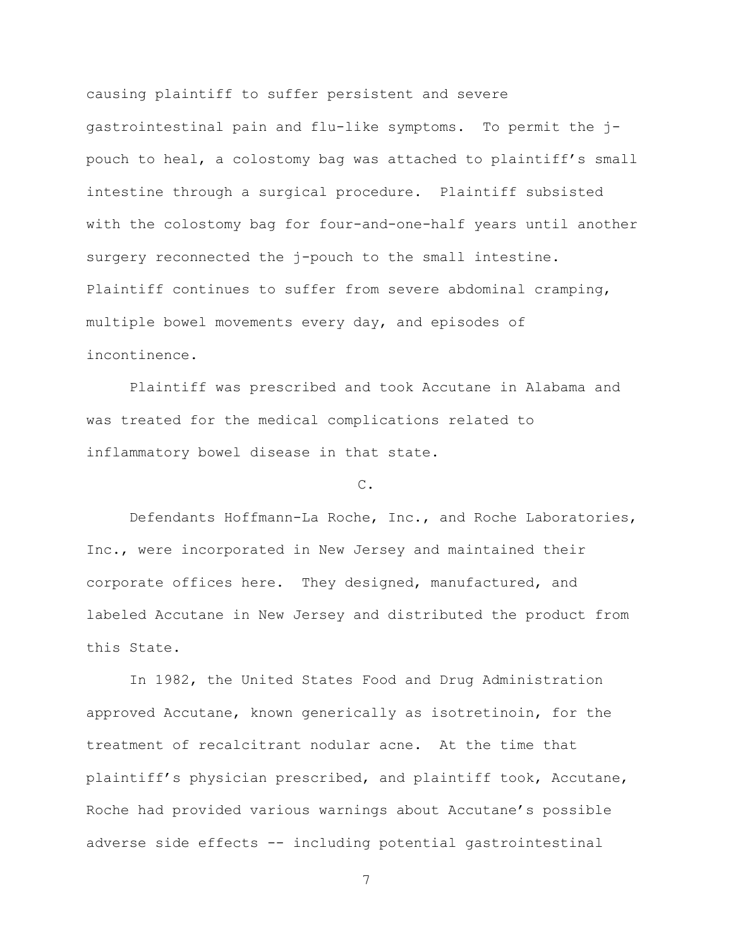causing plaintiff to suffer persistent and severe gastrointestinal pain and flu-like symptoms. To permit the jpouch to heal, a colostomy bag was attached to plaintiff's small intestine through a surgical procedure. Plaintiff subsisted with the colostomy bag for four-and-one-half years until another surgery reconnected the j-pouch to the small intestine. Plaintiff continues to suffer from severe abdominal cramping, multiple bowel movements every day, and episodes of incontinence.

Plaintiff was prescribed and took Accutane in Alabama and was treated for the medical complications related to inflammatory bowel disease in that state.

#### C.

Defendants Hoffmann-La Roche, Inc., and Roche Laboratories, Inc., were incorporated in New Jersey and maintained their corporate offices here. They designed, manufactured, and labeled Accutane in New Jersey and distributed the product from this State.

In 1982, the United States Food and Drug Administration approved Accutane, known generically as isotretinoin, for the treatment of recalcitrant nodular acne. At the time that plaintiff's physician prescribed, and plaintiff took, Accutane, Roche had provided various warnings about Accutane's possible adverse side effects -- including potential gastrointestinal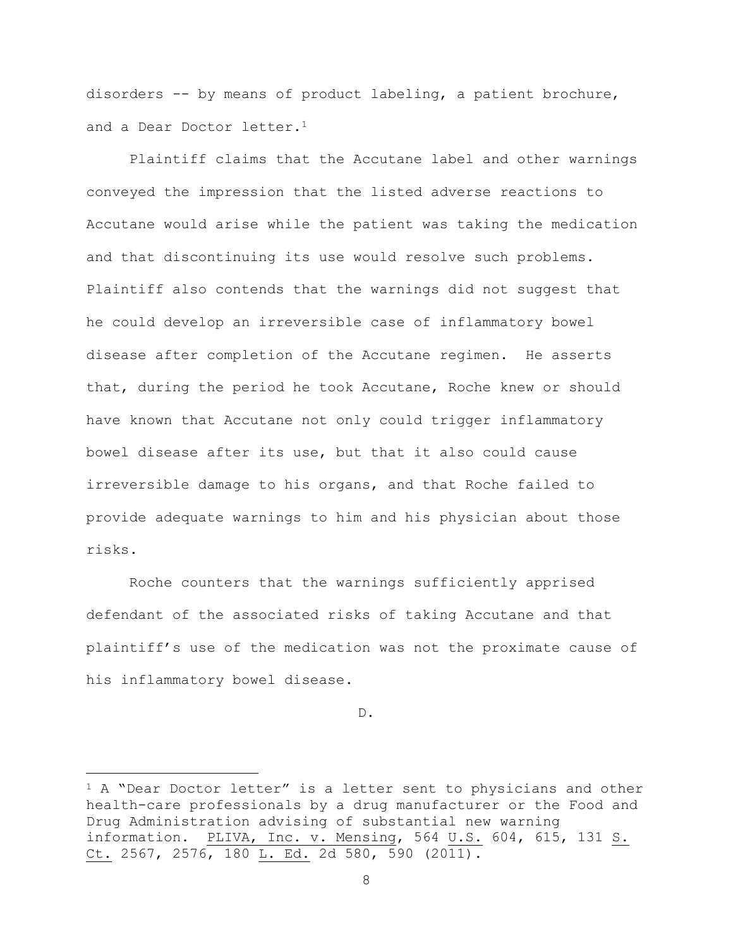disorders -- by means of product labeling, a patient brochure, and a Dear Doctor letter.<sup>1</sup>

Plaintiff claims that the Accutane label and other warnings conveyed the impression that the listed adverse reactions to Accutane would arise while the patient was taking the medication and that discontinuing its use would resolve such problems. Plaintiff also contends that the warnings did not suggest that he could develop an irreversible case of inflammatory bowel disease after completion of the Accutane regimen. He asserts that, during the period he took Accutane, Roche knew or should have known that Accutane not only could trigger inflammatory bowel disease after its use, but that it also could cause irreversible damage to his organs, and that Roche failed to provide adequate warnings to him and his physician about those risks.

Roche counters that the warnings sufficiently apprised defendant of the associated risks of taking Accutane and that plaintiff's use of the medication was not the proximate cause of his inflammatory bowel disease.

D.

a<br>B

 $1$  A "Dear Doctor letter" is a letter sent to physicians and other health-care professionals by a drug manufacturer or the Food and Drug Administration advising of substantial new warning information. PLIVA, Inc. v. Mensing, 564 U.S. 604, 615, 131 S. Ct. 2567, 2576, 180 L. Ed. 2d 580, 590 (2011).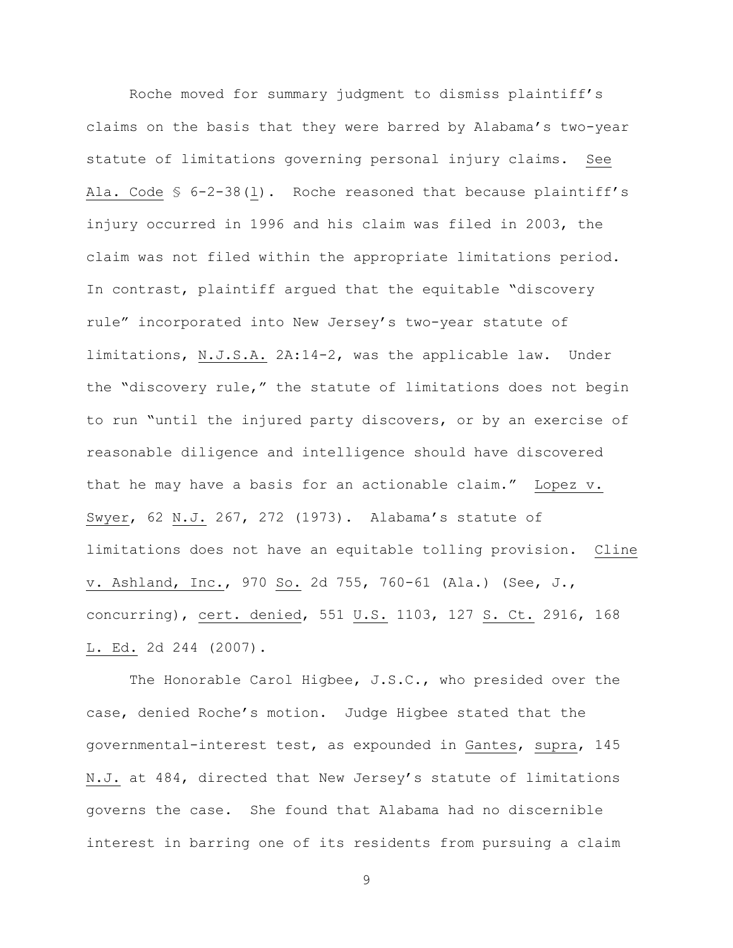Roche moved for summary judgment to dismiss plaintiff's claims on the basis that they were barred by Alabama's two-year statute of limitations governing personal injury claims. See Ala. Code § 6-2-38(l). Roche reasoned that because plaintiff's injury occurred in 1996 and his claim was filed in 2003, the claim was not filed within the appropriate limitations period. In contrast, plaintiff argued that the equitable "discovery rule" incorporated into New Jersey's two-year statute of limitations, N.J.S.A. 2A:14-2, was the applicable law. Under the "discovery rule," the statute of limitations does not begin to run "until the injured party discovers, or by an exercise of reasonable diligence and intelligence should have discovered that he may have a basis for an actionable claim." Lopez v. Swyer, 62 N.J. 267, 272 (1973). Alabama's statute of limitations does not have an equitable tolling provision. Cline v. Ashland, Inc., 970 So. 2d 755, 760-61 (Ala.) (See, J., concurring), cert. denied, 551 U.S. 1103, 127 S. Ct. 2916, 168 L. Ed. 2d 244 (2007).

The Honorable Carol Higbee, J.S.C., who presided over the case, denied Roche's motion. Judge Higbee stated that the governmental-interest test, as expounded in Gantes, supra, 145 N.J. at 484, directed that New Jersey's statute of limitations governs the case. She found that Alabama had no discernible interest in barring one of its residents from pursuing a claim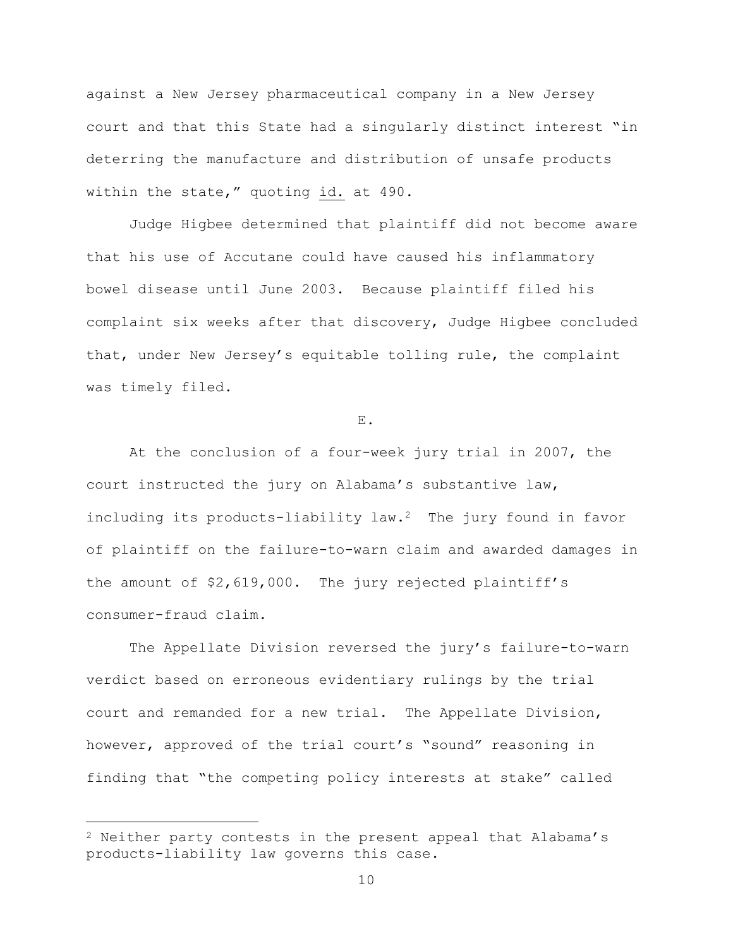against a New Jersey pharmaceutical company in a New Jersey court and that this State had a singularly distinct interest "in deterring the manufacture and distribution of unsafe products within the state," quoting id. at 490.

Judge Higbee determined that plaintiff did not become aware that his use of Accutane could have caused his inflammatory bowel disease until June 2003. Because plaintiff filed his complaint six weeks after that discovery, Judge Higbee concluded that, under New Jersey's equitable tolling rule, the complaint was timely filed.

E.

At the conclusion of a four-week jury trial in 2007, the court instructed the jury on Alabama's substantive law, including its products-liability law.2 The jury found in favor of plaintiff on the failure-to-warn claim and awarded damages in the amount of \$2,619,000. The jury rejected plaintiff's consumer-fraud claim.

The Appellate Division reversed the jury's failure-to-warn verdict based on erroneous evidentiary rulings by the trial court and remanded for a new trial. The Appellate Division, however, approved of the trial court's "sound" reasoning in finding that "the competing policy interests at stake" called

a<br>B

 $2$  Neither party contests in the present appeal that Alabama's products-liability law governs this case.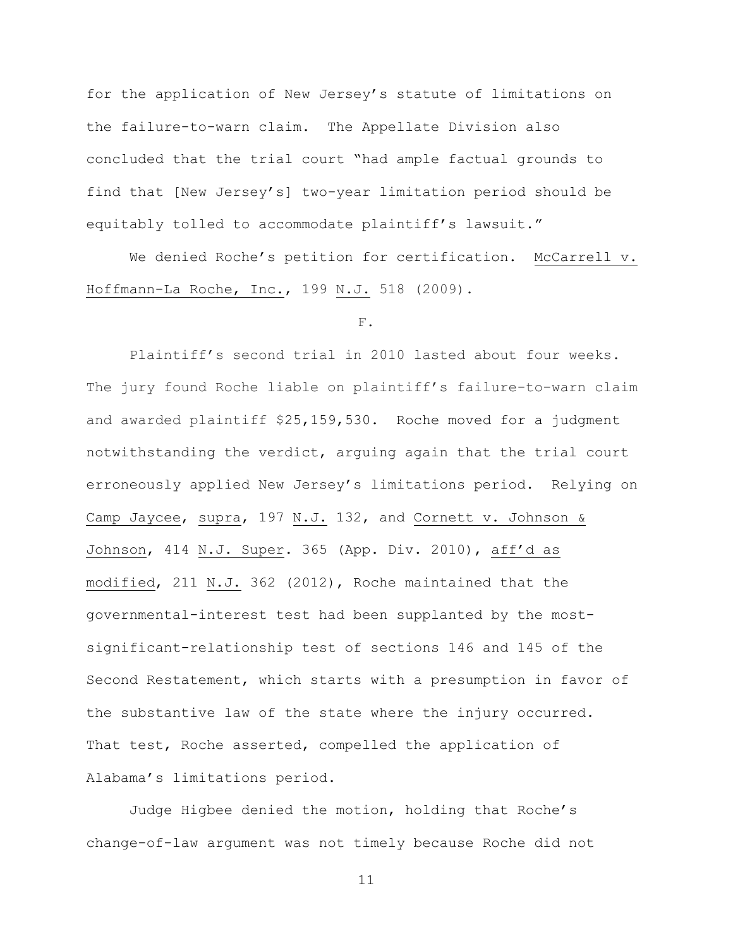for the application of New Jersey's statute of limitations on the failure-to-warn claim. The Appellate Division also concluded that the trial court "had ample factual grounds to find that [New Jersey's] two-year limitation period should be equitably tolled to accommodate plaintiff's lawsuit."

We denied Roche's petition for certification. McCarrell v. Hoffmann-La Roche, Inc., 199 N.J. 518 (2009).

#### F.

Plaintiff's second trial in 2010 lasted about four weeks. The jury found Roche liable on plaintiff's failure-to-warn claim and awarded plaintiff \$25,159,530. Roche moved for a judgment notwithstanding the verdict, arguing again that the trial court erroneously applied New Jersey's limitations period. Relying on Camp Jaycee, supra, 197 N.J. 132, and Cornett v. Johnson & Johnson, 414 N.J. Super. 365 (App. Div. 2010), aff'd as modified, 211 N.J. 362 (2012), Roche maintained that the governmental-interest test had been supplanted by the mostsignificant-relationship test of sections 146 and 145 of the Second Restatement, which starts with a presumption in favor of the substantive law of the state where the injury occurred. That test, Roche asserted, compelled the application of Alabama's limitations period.

Judge Higbee denied the motion, holding that Roche's change-of-law argument was not timely because Roche did not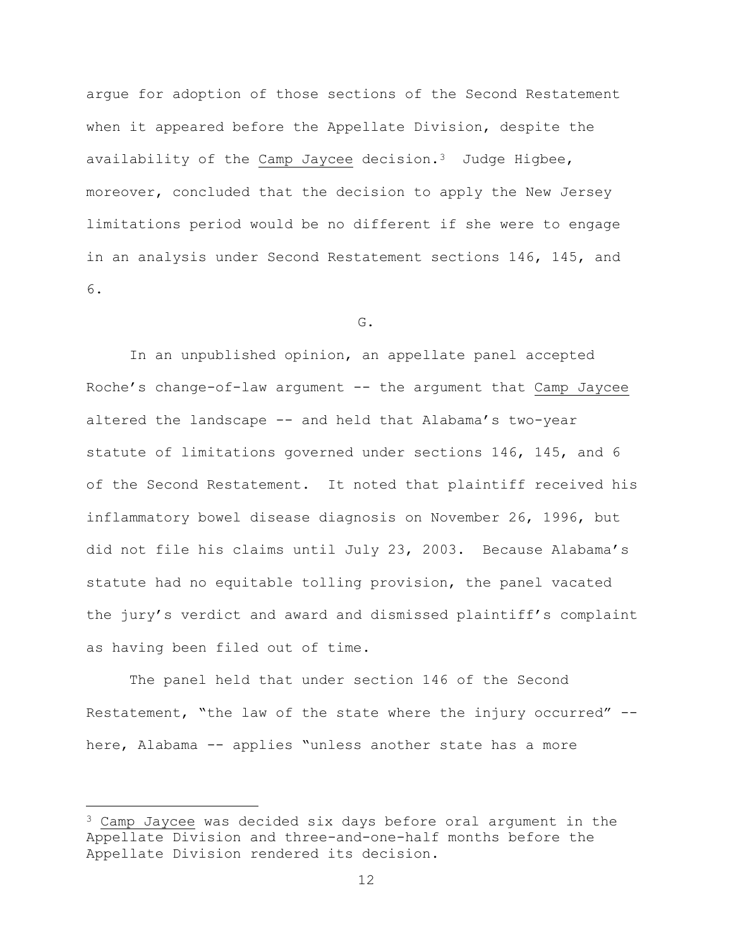argue for adoption of those sections of the Second Restatement when it appeared before the Appellate Division, despite the availability of the Camp Jaycee decision.<sup>3</sup> Judge Higbee, moreover, concluded that the decision to apply the New Jersey limitations period would be no different if she were to engage in an analysis under Second Restatement sections 146, 145, and 6.

G.

In an unpublished opinion, an appellate panel accepted Roche's change-of-law argument -- the argument that Camp Jaycee altered the landscape -- and held that Alabama's two-year statute of limitations governed under sections 146, 145, and 6 of the Second Restatement. It noted that plaintiff received his inflammatory bowel disease diagnosis on November 26, 1996, but did not file his claims until July 23, 2003. Because Alabama's statute had no equitable tolling provision, the panel vacated the jury's verdict and award and dismissed plaintiff's complaint as having been filed out of time.

The panel held that under section 146 of the Second Restatement, "the law of the state where the injury occurred" - here, Alabama -- applies "unless another state has a more

a<br>B

 $3$  Camp Jaycee was decided six days before oral argument in the Appellate Division and three-and-one-half months before the Appellate Division rendered its decision.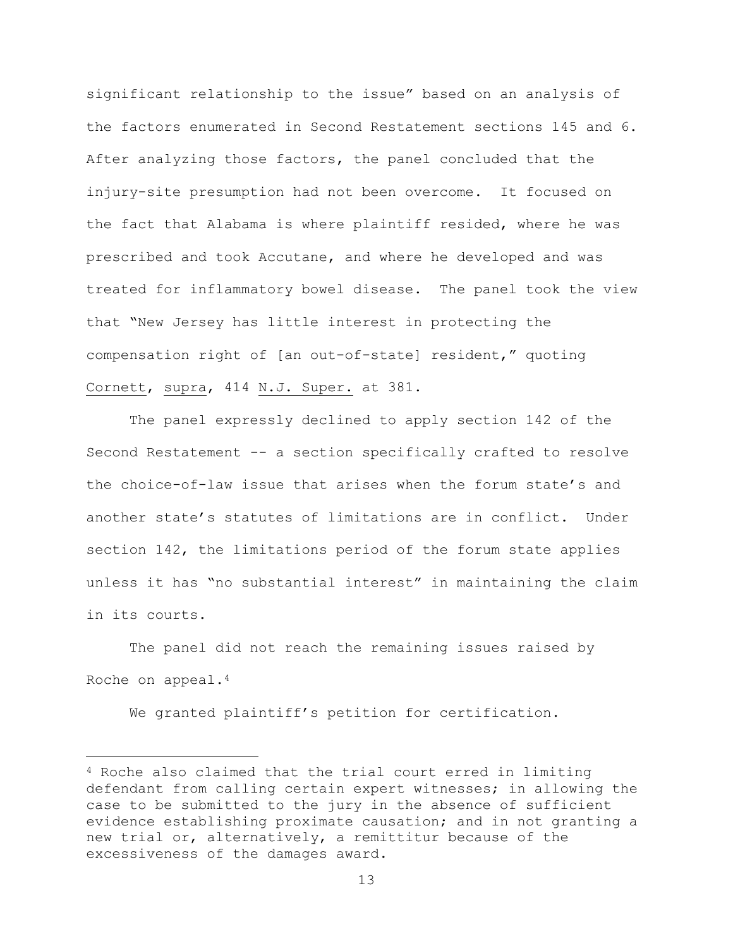significant relationship to the issue" based on an analysis of the factors enumerated in Second Restatement sections 145 and 6. After analyzing those factors, the panel concluded that the injury-site presumption had not been overcome. It focused on the fact that Alabama is where plaintiff resided, where he was prescribed and took Accutane, and where he developed and was treated for inflammatory bowel disease. The panel took the view that "New Jersey has little interest in protecting the compensation right of [an out-of-state] resident," quoting Cornett, supra, 414 N.J. Super. at 381.

The panel expressly declined to apply section 142 of the Second Restatement -- a section specifically crafted to resolve the choice-of-law issue that arises when the forum state's and another state's statutes of limitations are in conflict. Under section 142, the limitations period of the forum state applies unless it has "no substantial interest" in maintaining the claim in its courts.

The panel did not reach the remaining issues raised by Roche on appeal.<sup>4</sup>

We granted plaintiff's petition for certification.

L,

<sup>4</sup> Roche also claimed that the trial court erred in limiting defendant from calling certain expert witnesses; in allowing the case to be submitted to the jury in the absence of sufficient evidence establishing proximate causation; and in not granting a new trial or, alternatively, a remittitur because of the excessiveness of the damages award.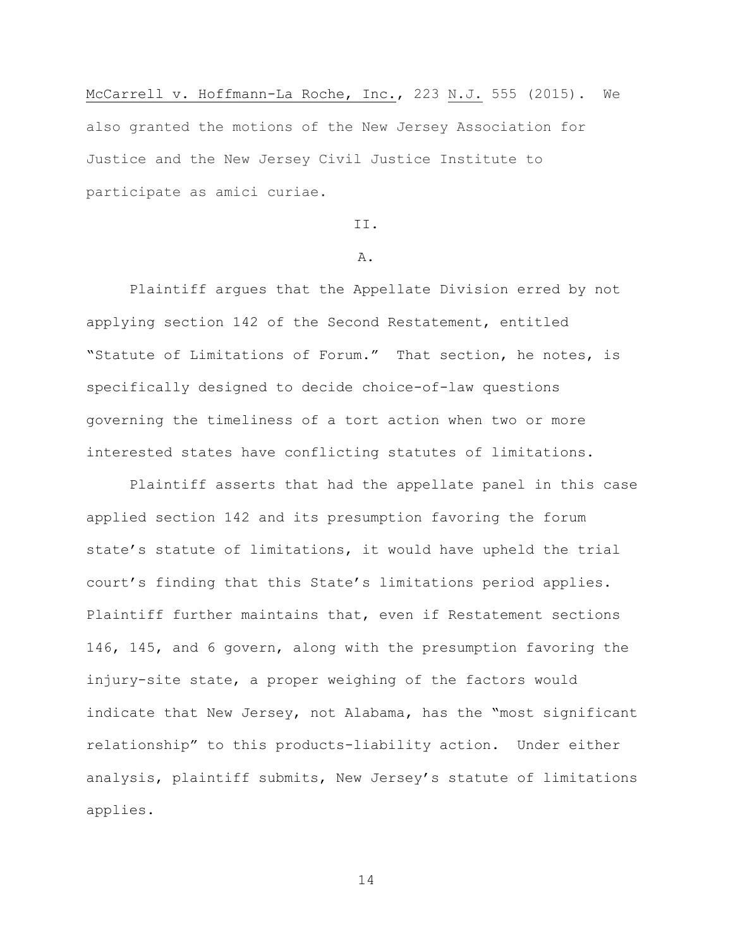McCarrell v. Hoffmann-La Roche, Inc., 223 N.J. 555 (2015). We also granted the motions of the New Jersey Association for Justice and the New Jersey Civil Justice Institute to participate as amici curiae.

# II.

# A.

Plaintiff argues that the Appellate Division erred by not applying section 142 of the Second Restatement, entitled "Statute of Limitations of Forum." That section, he notes, is specifically designed to decide choice-of-law questions governing the timeliness of a tort action when two or more interested states have conflicting statutes of limitations.

Plaintiff asserts that had the appellate panel in this case applied section 142 and its presumption favoring the forum state's statute of limitations, it would have upheld the trial court's finding that this State's limitations period applies. Plaintiff further maintains that, even if Restatement sections 146, 145, and 6 govern, along with the presumption favoring the injury-site state, a proper weighing of the factors would indicate that New Jersey, not Alabama, has the "most significant relationship" to this products-liability action. Under either analysis, plaintiff submits, New Jersey's statute of limitations applies.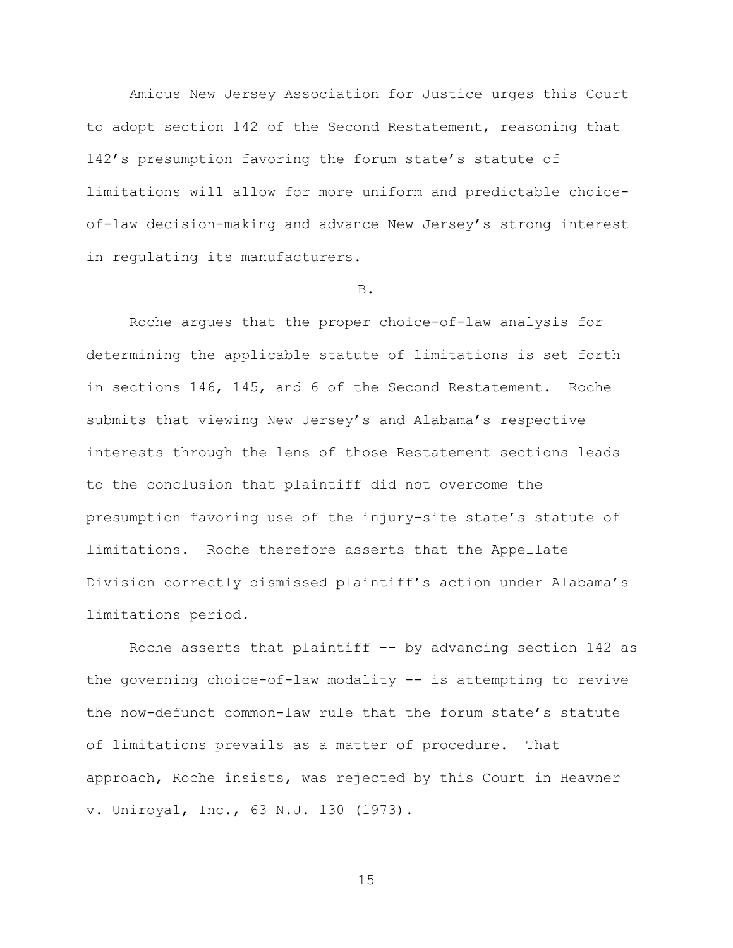Amicus New Jersey Association for Justice urges this Court to adopt section 142 of the Second Restatement, reasoning that 142's presumption favoring the forum state's statute of limitations will allow for more uniform and predictable choiceof-law decision-making and advance New Jersey's strong interest in regulating its manufacturers.

# B.

Roche argues that the proper choice-of-law analysis for determining the applicable statute of limitations is set forth in sections 146, 145, and 6 of the Second Restatement. Roche submits that viewing New Jersey's and Alabama's respective interests through the lens of those Restatement sections leads to the conclusion that plaintiff did not overcome the presumption favoring use of the injury-site state's statute of limitations. Roche therefore asserts that the Appellate Division correctly dismissed plaintiff's action under Alabama's limitations period.

Roche asserts that plaintiff -- by advancing section 142 as the governing choice-of-law modality -- is attempting to revive the now-defunct common-law rule that the forum state's statute of limitations prevails as a matter of procedure. That approach, Roche insists, was rejected by this Court in Heavner v. Uniroyal, Inc., 63 N.J. 130 (1973).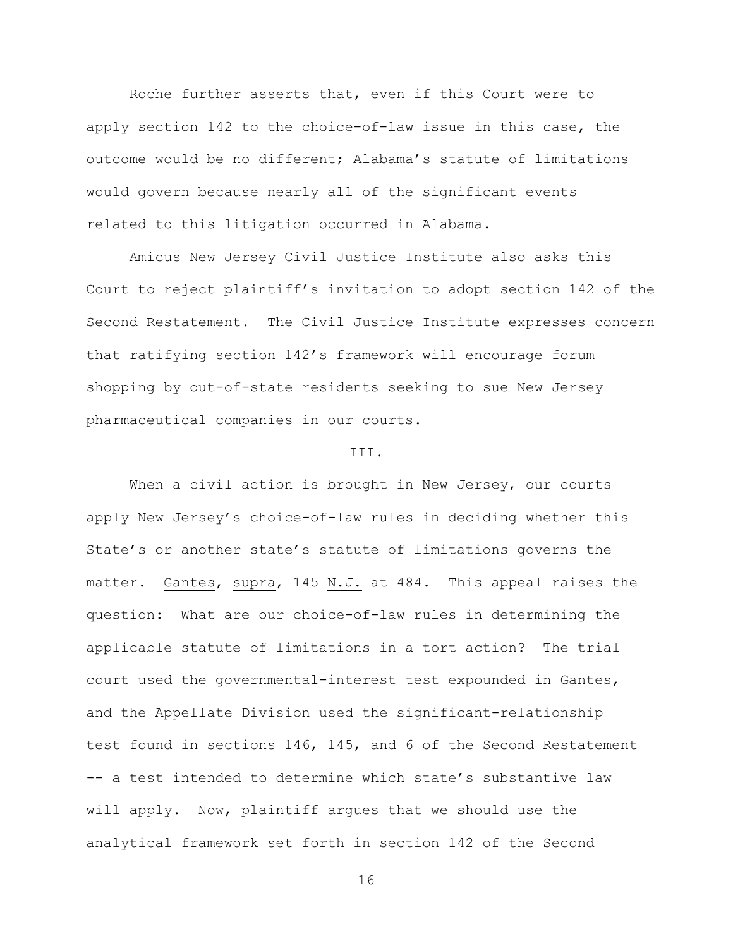Roche further asserts that, even if this Court were to apply section 142 to the choice-of-law issue in this case, the outcome would be no different; Alabama's statute of limitations would govern because nearly all of the significant events related to this litigation occurred in Alabama.

Amicus New Jersey Civil Justice Institute also asks this Court to reject plaintiff's invitation to adopt section 142 of the Second Restatement. The Civil Justice Institute expresses concern that ratifying section 142's framework will encourage forum shopping by out-of-state residents seeking to sue New Jersey pharmaceutical companies in our courts.

#### III.

When a civil action is brought in New Jersey, our courts apply New Jersey's choice-of-law rules in deciding whether this State's or another state's statute of limitations governs the matter. Gantes, supra, 145 N.J. at 484. This appeal raises the question: What are our choice-of-law rules in determining the applicable statute of limitations in a tort action? The trial court used the governmental-interest test expounded in Gantes, and the Appellate Division used the significant-relationship test found in sections 146, 145, and 6 of the Second Restatement -- a test intended to determine which state's substantive law will apply. Now, plaintiff argues that we should use the analytical framework set forth in section 142 of the Second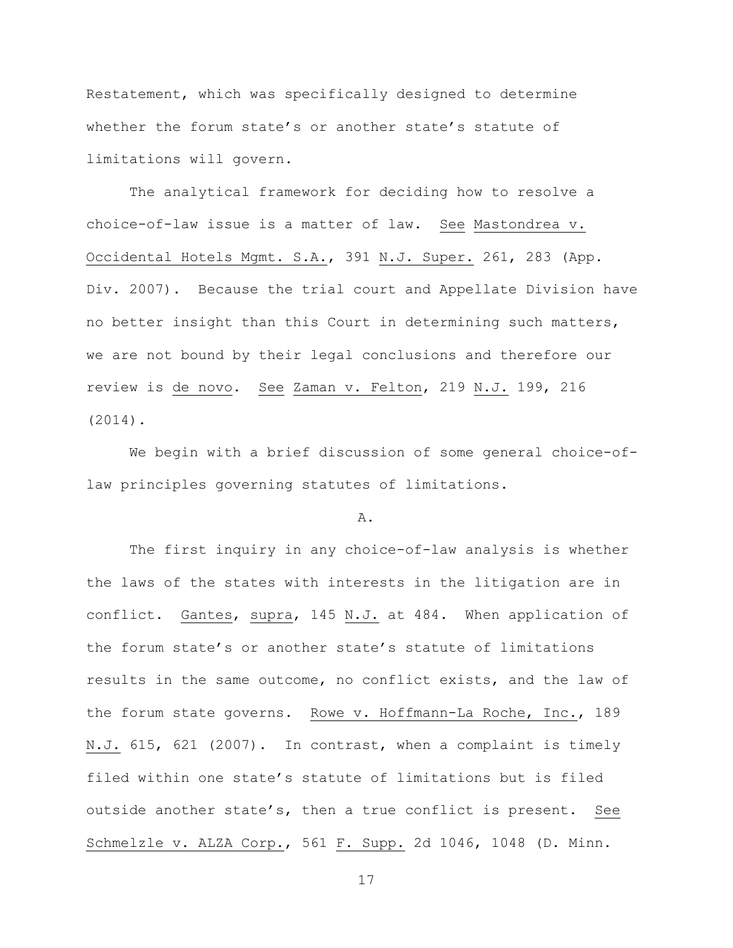Restatement, which was specifically designed to determine whether the forum state's or another state's statute of limitations will govern.

The analytical framework for deciding how to resolve a choice-of-law issue is a matter of law. See Mastondrea v. Occidental Hotels Mgmt. S.A., 391 N.J. Super. 261, 283 (App. Div. 2007). Because the trial court and Appellate Division have no better insight than this Court in determining such matters, we are not bound by their legal conclusions and therefore our review is de novo. See Zaman v. Felton, 219 N.J. 199, 216 (2014).

We begin with a brief discussion of some general choice-oflaw principles governing statutes of limitations.

#### A.

The first inquiry in any choice-of-law analysis is whether the laws of the states with interests in the litigation are in conflict. Gantes, supra, 145 N.J. at 484. When application of the forum state's or another state's statute of limitations results in the same outcome, no conflict exists, and the law of the forum state governs. Rowe v. Hoffmann-La Roche, Inc., 189 N.J. 615, 621 (2007). In contrast, when a complaint is timely filed within one state's statute of limitations but is filed outside another state's, then a true conflict is present. See Schmelzle v. ALZA Corp., 561 F. Supp. 2d 1046, 1048 (D. Minn.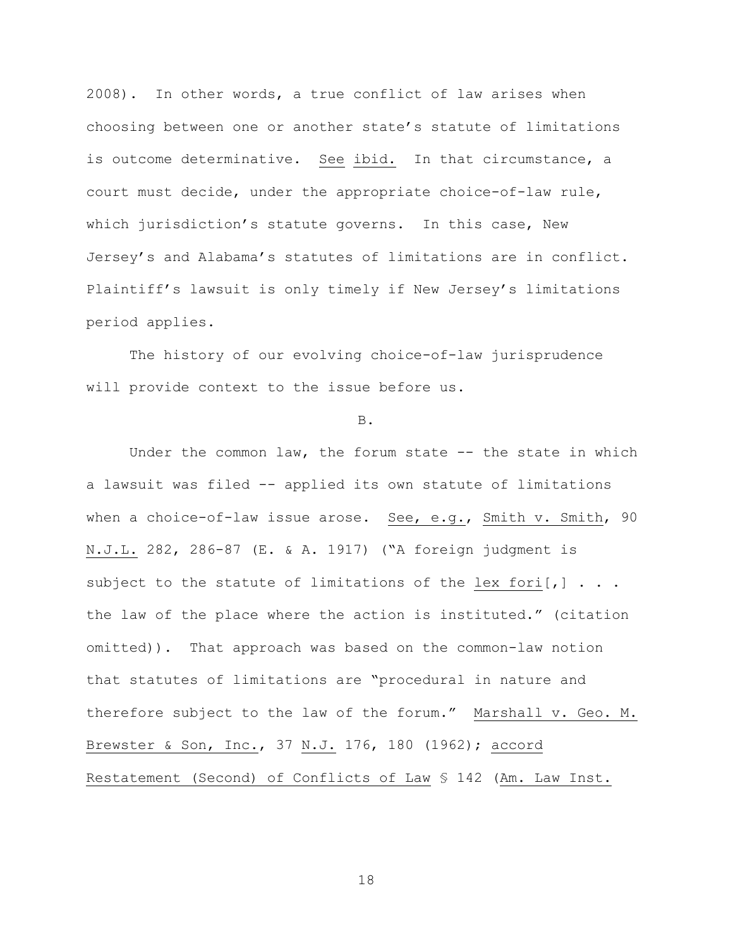2008). In other words, a true conflict of law arises when choosing between one or another state's statute of limitations is outcome determinative. See ibid. In that circumstance, a court must decide, under the appropriate choice-of-law rule, which jurisdiction's statute governs. In this case, New Jersey's and Alabama's statutes of limitations are in conflict. Plaintiff's lawsuit is only timely if New Jersey's limitations period applies.

The history of our evolving choice-of-law jurisprudence will provide context to the issue before us.

#### B.

Under the common law, the forum state -- the state in which a lawsuit was filed -- applied its own statute of limitations when a choice-of-law issue arose. See, e.g., Smith v. Smith, 90 N.J.L. 282, 286-87 (E. & A. 1917) ("A foreign judgment is subject to the statute of limitations of the lex fori $[j]$ ... the law of the place where the action is instituted." (citation omitted)). That approach was based on the common-law notion that statutes of limitations are "procedural in nature and therefore subject to the law of the forum." Marshall v. Geo. M. Brewster & Son, Inc., 37 N.J. 176, 180 (1962); accord Restatement (Second) of Conflicts of Law § 142 (Am. Law Inst.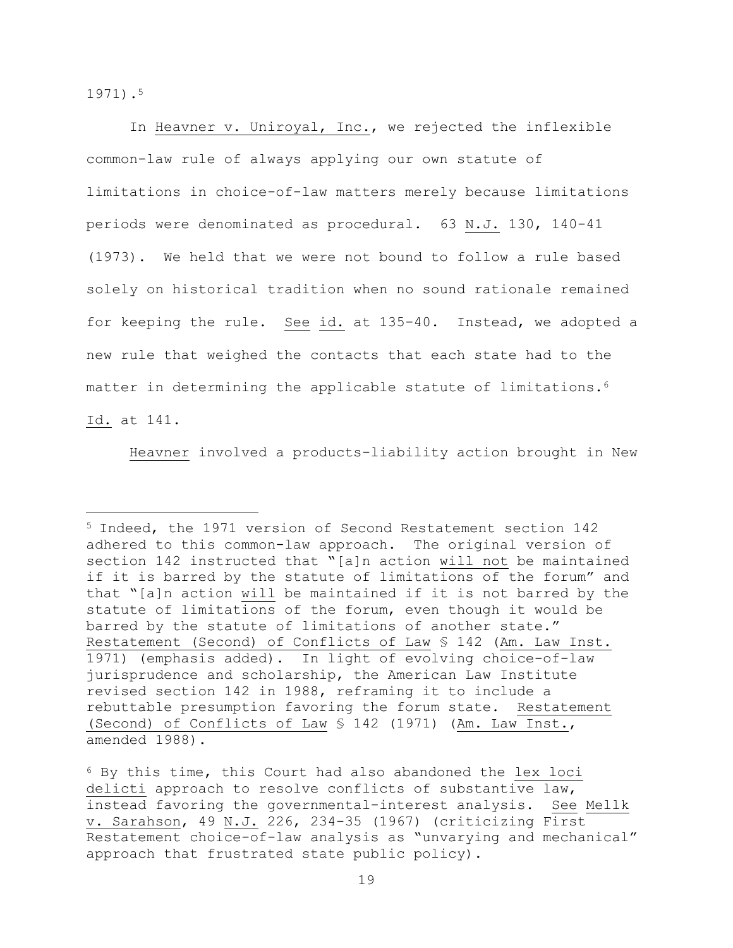1971).<sup>5</sup>

a<br>B

In Heavner v. Uniroyal, Inc., we rejected the inflexible common-law rule of always applying our own statute of limitations in choice-of-law matters merely because limitations periods were denominated as procedural. 63 N.J. 130, 140-41 (1973). We held that we were not bound to follow a rule based solely on historical tradition when no sound rationale remained for keeping the rule. See id. at 135-40. Instead, we adopted a new rule that weighed the contacts that each state had to the matter in determining the applicable statute of limitations.<sup>6</sup> Id. at 141.

Heavner involved a products-liability action brought in New

<sup>5</sup> Indeed, the 1971 version of Second Restatement section 142 adhered to this common-law approach. The original version of section 142 instructed that "[a]n action will not be maintained if it is barred by the statute of limitations of the forum" and that "[a]n action will be maintained if it is not barred by the statute of limitations of the forum, even though it would be barred by the statute of limitations of another state." Restatement (Second) of Conflicts of Law § 142 (Am. Law Inst. 1971) (emphasis added). In light of evolving choice-of-law jurisprudence and scholarship, the American Law Institute revised section 142 in 1988, reframing it to include a rebuttable presumption favoring the forum state. Restatement (Second) of Conflicts of Law \$ 142 (1971) (Am. Law Inst., amended 1988).

<sup>6</sup> By this time, this Court had also abandoned the lex loci delicti approach to resolve conflicts of substantive law, instead favoring the governmental-interest analysis. See Mellk v. Sarahson, 49 N.J. 226, 234-35 (1967) (criticizing First Restatement choice-of-law analysis as "unvarying and mechanical" approach that frustrated state public policy).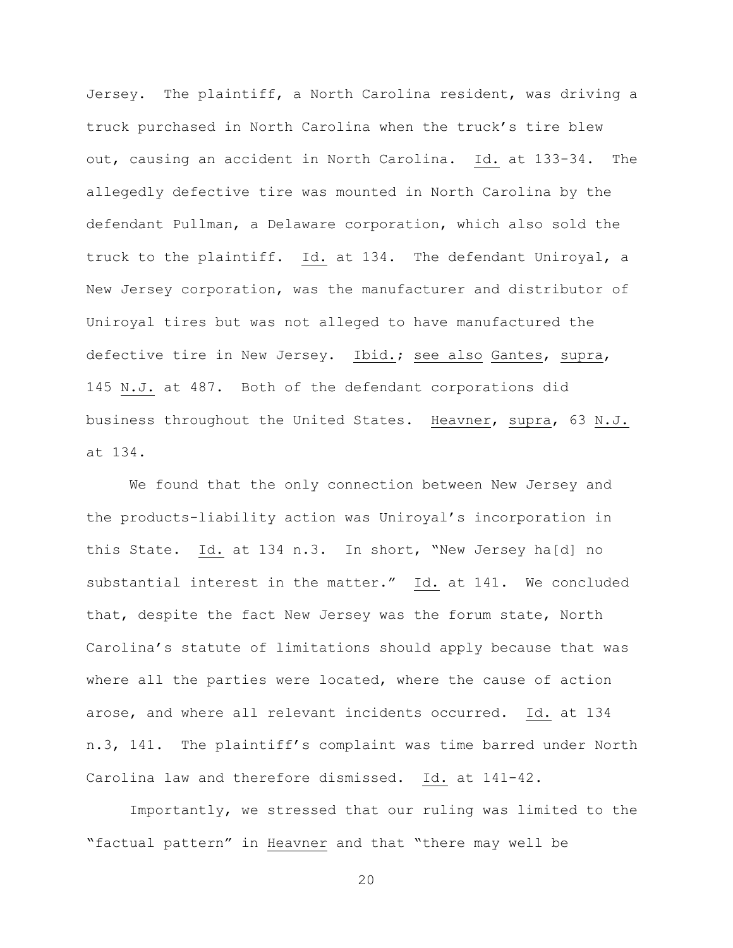Jersey. The plaintiff, a North Carolina resident, was driving a truck purchased in North Carolina when the truck's tire blew out, causing an accident in North Carolina. Id. at 133-34. The allegedly defective tire was mounted in North Carolina by the defendant Pullman, a Delaware corporation, which also sold the truck to the plaintiff. Id. at 134. The defendant Uniroyal, a New Jersey corporation, was the manufacturer and distributor of Uniroyal tires but was not alleged to have manufactured the defective tire in New Jersey. Ibid.; see also Gantes, supra, 145 N.J. at 487. Both of the defendant corporations did business throughout the United States. Heavner, supra, 63 N.J. at 134.

We found that the only connection between New Jersey and the products-liability action was Uniroyal's incorporation in this State. Id. at 134 n.3. In short, "New Jersey ha[d] no substantial interest in the matter." Id. at 141. We concluded that, despite the fact New Jersey was the forum state, North Carolina's statute of limitations should apply because that was where all the parties were located, where the cause of action arose, and where all relevant incidents occurred. Id. at 134 n.3, 141. The plaintiff's complaint was time barred under North Carolina law and therefore dismissed. Id. at 141-42.

Importantly, we stressed that our ruling was limited to the "factual pattern" in Heavner and that "there may well be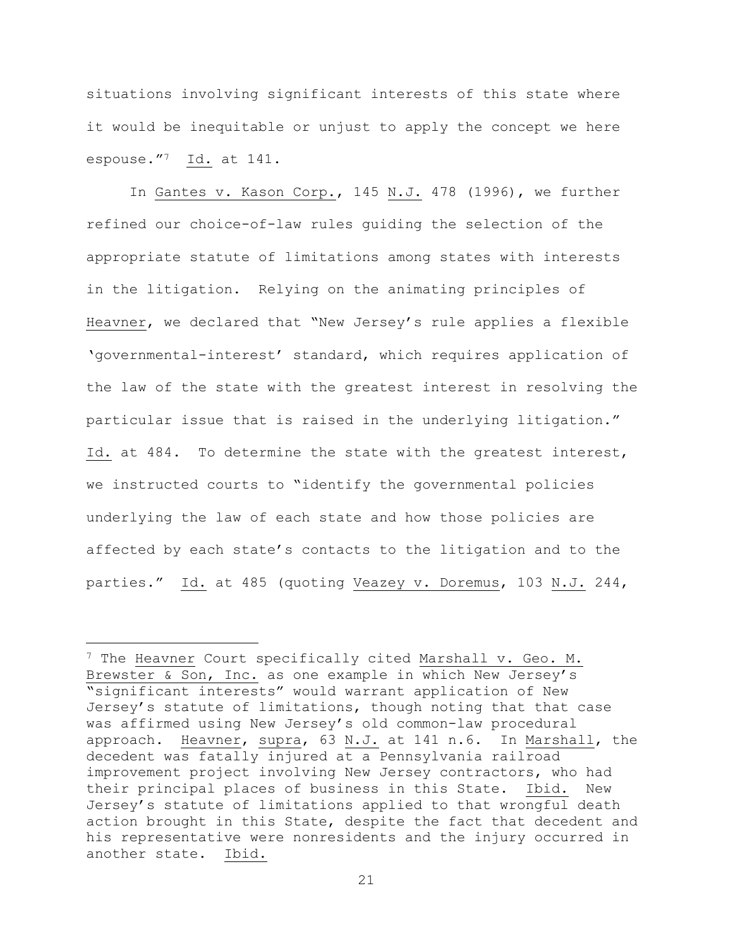situations involving significant interests of this state where it would be inequitable or unjust to apply the concept we here espouse."7 Id. at 141.

In Gantes v. Kason Corp., 145 N.J. 478 (1996), we further refined our choice-of-law rules guiding the selection of the appropriate statute of limitations among states with interests in the litigation. Relying on the animating principles of Heavner, we declared that "New Jersey's rule applies a flexible 'governmental-interest' standard, which requires application of the law of the state with the greatest interest in resolving the particular issue that is raised in the underlying litigation." Id. at 484. To determine the state with the greatest interest, we instructed courts to "identify the governmental policies underlying the law of each state and how those policies are affected by each state's contacts to the litigation and to the parties." Id. at 485 (quoting Veazey v. Doremus, 103 N.J. 244,

i<br>L

<sup>&</sup>lt;sup>7</sup> The Heavner Court specifically cited Marshall v. Geo. M. Brewster & Son, Inc. as one example in which New Jersey's "significant interests" would warrant application of New Jersey's statute of limitations, though noting that that case was affirmed using New Jersey's old common-law procedural approach. Heavner, supra, 63 N.J. at 141 n.6. In Marshall, the decedent was fatally injured at a Pennsylvania railroad improvement project involving New Jersey contractors, who had their principal places of business in this State. Ibid. New Jersey's statute of limitations applied to that wrongful death action brought in this State, despite the fact that decedent and his representative were nonresidents and the injury occurred in another state. Ibid.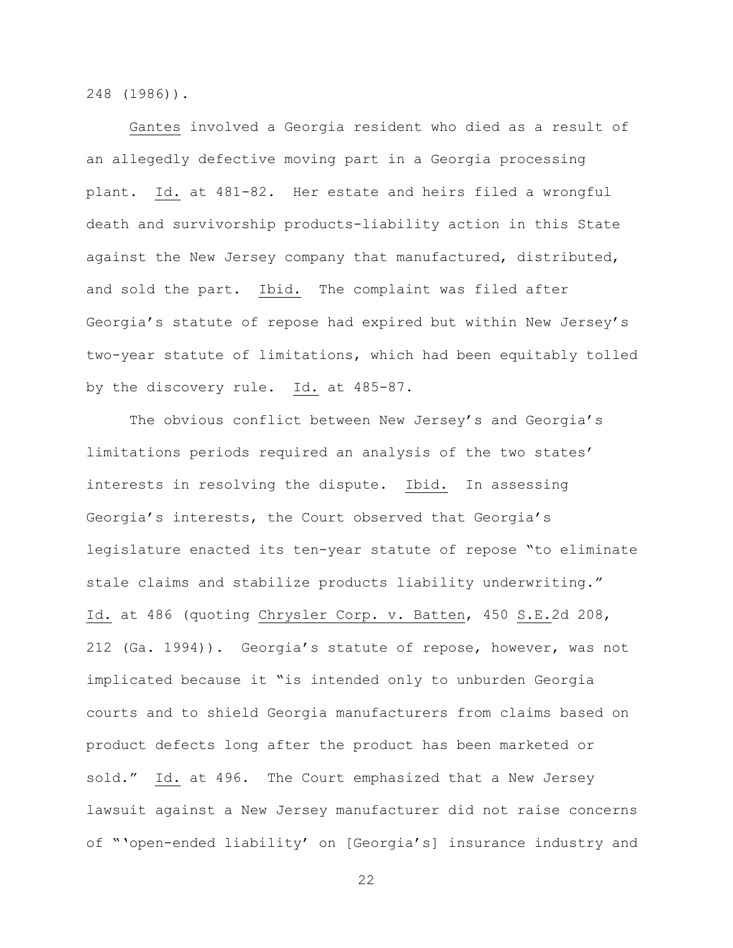248 (1986)).

Gantes involved a Georgia resident who died as a result of an allegedly defective moving part in a Georgia processing plant. Id. at 481-82. Her estate and heirs filed a wrongful death and survivorship products-liability action in this State against the New Jersey company that manufactured, distributed, and sold the part. Ibid. The complaint was filed after Georgia's statute of repose had expired but within New Jersey's two-year statute of limitations, which had been equitably tolled by the discovery rule. Id. at 485-87.

The obvious conflict between New Jersey's and Georgia's limitations periods required an analysis of the two states' interests in resolving the dispute. Ibid. In assessing Georgia's interests, the Court observed that Georgia's legislature enacted its ten-year statute of repose "to eliminate stale claims and stabilize products liability underwriting." Id. at 486 (quoting Chrysler Corp. v. Batten, 450 S.E.2d 208, 212 (Ga. 1994)). Georgia's statute of repose, however, was not implicated because it "is intended only to unburden Georgia courts and to shield Georgia manufacturers from claims based on product defects long after the product has been marketed or sold." Id. at 496. The Court emphasized that a New Jersey lawsuit against a New Jersey manufacturer did not raise concerns of "'open-ended liability' on [Georgia's] insurance industry and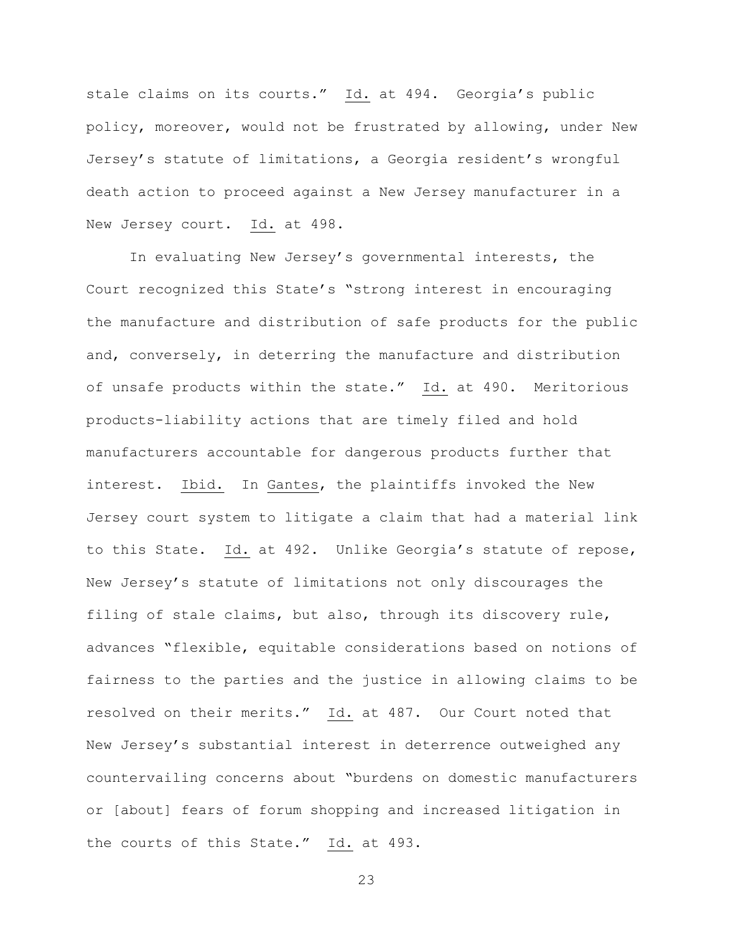stale claims on its courts." Id. at 494. Georgia's public policy, moreover, would not be frustrated by allowing, under New Jersey's statute of limitations, a Georgia resident's wrongful death action to proceed against a New Jersey manufacturer in a New Jersey court. Id. at 498.

In evaluating New Jersey's governmental interests, the Court recognized this State's "strong interest in encouraging the manufacture and distribution of safe products for the public and, conversely, in deterring the manufacture and distribution of unsafe products within the state." Id. at 490. Meritorious products-liability actions that are timely filed and hold manufacturers accountable for dangerous products further that interest. Ibid. In Gantes, the plaintiffs invoked the New Jersey court system to litigate a claim that had a material link to this State. Id. at 492. Unlike Georgia's statute of repose, New Jersey's statute of limitations not only discourages the filing of stale claims, but also, through its discovery rule, advances "flexible, equitable considerations based on notions of fairness to the parties and the justice in allowing claims to be resolved on their merits." Id. at 487. Our Court noted that New Jersey's substantial interest in deterrence outweighed any countervailing concerns about "burdens on domestic manufacturers or [about] fears of forum shopping and increased litigation in the courts of this State." Id. at 493.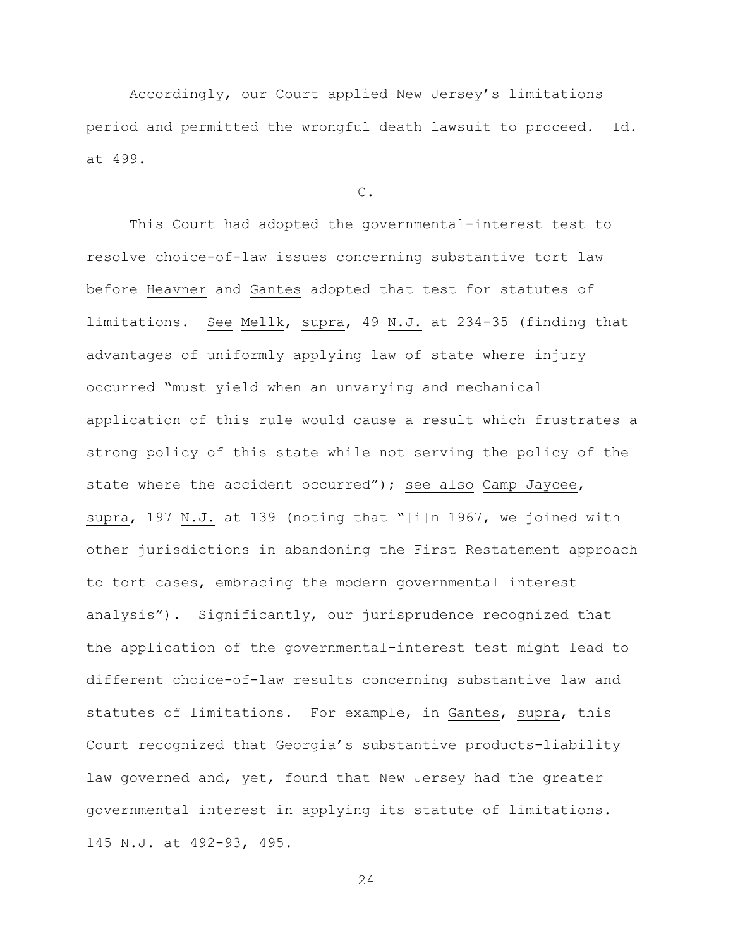Accordingly, our Court applied New Jersey's limitations period and permitted the wrongful death lawsuit to proceed. Id. at 499.

# C.

This Court had adopted the governmental-interest test to resolve choice-of-law issues concerning substantive tort law before Heavner and Gantes adopted that test for statutes of limitations. See Mellk, supra, 49 N.J. at 234-35 (finding that advantages of uniformly applying law of state where injury occurred "must yield when an unvarying and mechanical application of this rule would cause a result which frustrates a strong policy of this state while not serving the policy of the state where the accident occurred"); see also Camp Jaycee, supra, 197 N.J. at 139 (noting that "[i]n 1967, we joined with other jurisdictions in abandoning the First Restatement approach to tort cases, embracing the modern governmental interest analysis"). Significantly, our jurisprudence recognized that the application of the governmental-interest test might lead to different choice-of-law results concerning substantive law and statutes of limitations. For example, in Gantes, supra, this Court recognized that Georgia's substantive products-liability law governed and, yet, found that New Jersey had the greater governmental interest in applying its statute of limitations. 145 N.J. at 492-93, 495.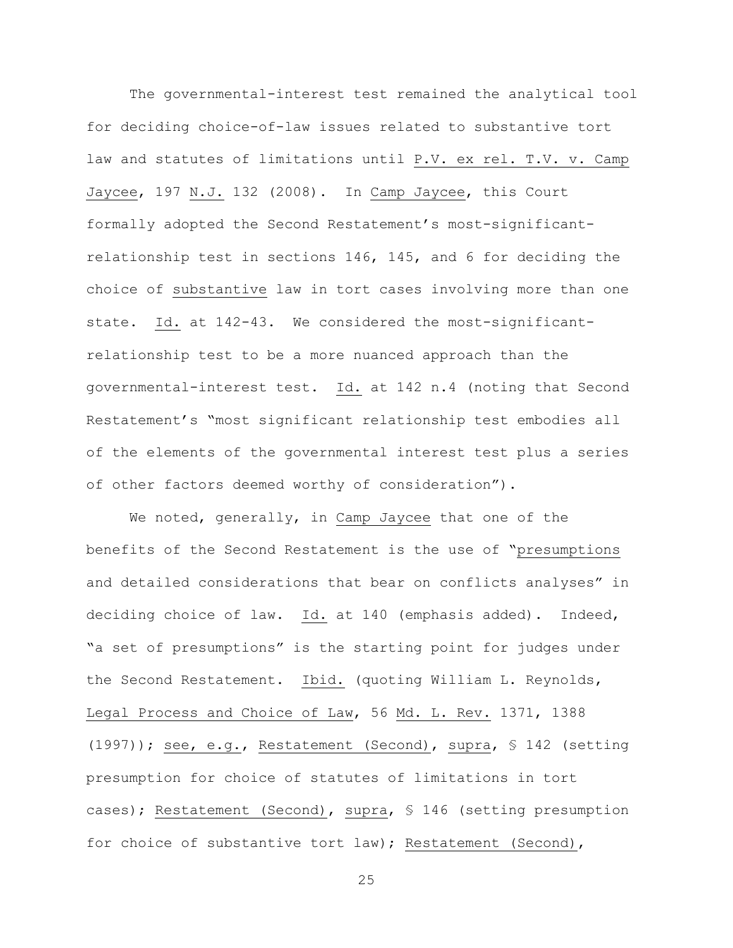The governmental-interest test remained the analytical tool for deciding choice-of-law issues related to substantive tort law and statutes of limitations until P.V. ex rel. T.V. v. Camp Jaycee, 197 N.J. 132 (2008). In Camp Jaycee, this Court formally adopted the Second Restatement's most-significantrelationship test in sections 146, 145, and 6 for deciding the choice of substantive law in tort cases involving more than one state. Id. at 142-43. We considered the most-significantrelationship test to be a more nuanced approach than the governmental-interest test. Id. at 142 n.4 (noting that Second Restatement's "most significant relationship test embodies all of the elements of the governmental interest test plus a series of other factors deemed worthy of consideration").

We noted, generally, in Camp Jaycee that one of the benefits of the Second Restatement is the use of "presumptions and detailed considerations that bear on conflicts analyses" in deciding choice of law. Id. at 140 (emphasis added). Indeed, "a set of presumptions" is the starting point for judges under the Second Restatement. Ibid. (quoting William L. Reynolds, Legal Process and Choice of Law, 56 Md. L. Rev. 1371, 1388 (1997)); see, e.g., Restatement (Second), supra, § 142 (setting presumption for choice of statutes of limitations in tort cases); Restatement (Second), supra, § 146 (setting presumption for choice of substantive tort law); Restatement (Second),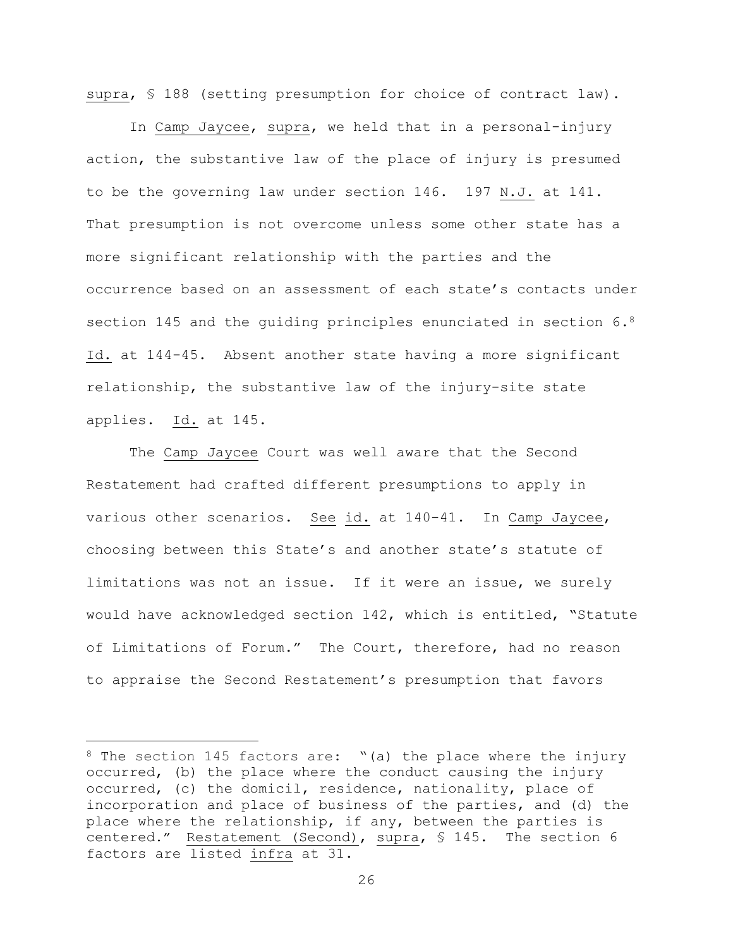supra, § 188 (setting presumption for choice of contract law).

In Camp Jaycee, supra, we held that in a personal-injury action, the substantive law of the place of injury is presumed to be the governing law under section 146. 197 N.J. at 141. That presumption is not overcome unless some other state has a more significant relationship with the parties and the occurrence based on an assessment of each state's contacts under section 145 and the guiding principles enunciated in section  $6.8$ Id. at 144-45. Absent another state having a more significant relationship, the substantive law of the injury-site state applies. Id. at 145.

The Camp Jaycee Court was well aware that the Second Restatement had crafted different presumptions to apply in various other scenarios. See id. at 140-41. In Camp Jaycee, choosing between this State's and another state's statute of limitations was not an issue. If it were an issue, we surely would have acknowledged section 142, which is entitled, "Statute of Limitations of Forum." The Court, therefore, had no reason to appraise the Second Restatement's presumption that favors

i<br>L

 $8$  The section 145 factors are: "(a) the place where the injury occurred, (b) the place where the conduct causing the injury occurred, (c) the domicil, residence, nationality, place of incorporation and place of business of the parties, and (d) the place where the relationship, if any, between the parties is centered." Restatement (Second), supra, § 145. The section 6 factors are listed infra at 31.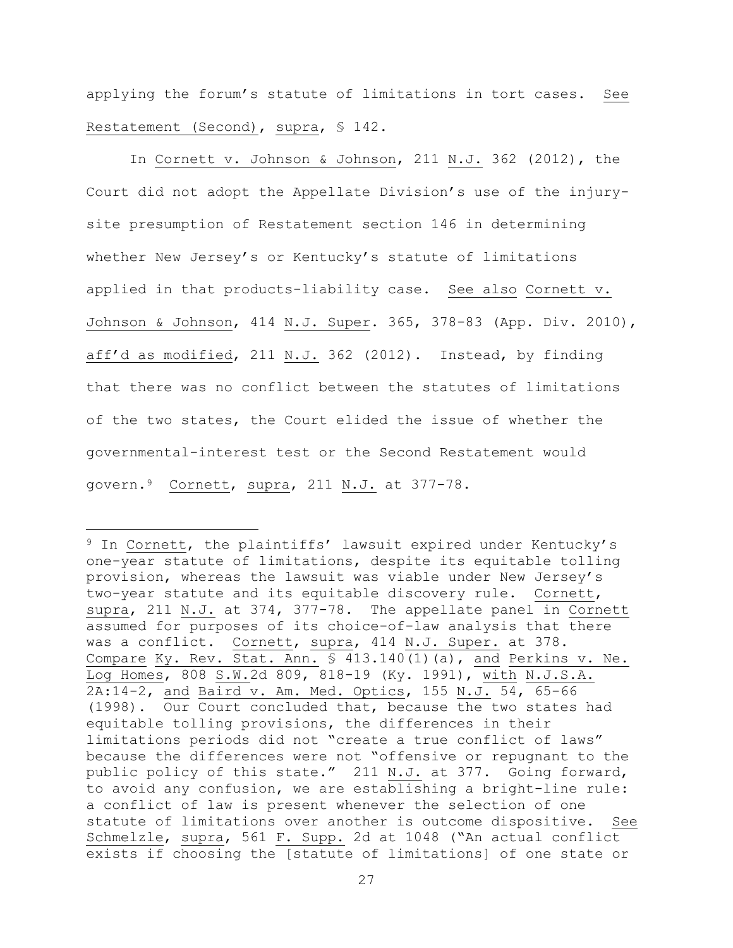applying the forum's statute of limitations in tort cases. See Restatement (Second), supra, § 142.

In Cornett v. Johnson & Johnson, 211 N.J. 362 (2012), the Court did not adopt the Appellate Division's use of the injurysite presumption of Restatement section 146 in determining whether New Jersey's or Kentucky's statute of limitations applied in that products-liability case. See also Cornett v. Johnson & Johnson, 414 N.J. Super. 365, 378-83 (App. Div. 2010), aff'd as modified, 211 N.J. 362 (2012). Instead, by finding that there was no conflict between the statutes of limitations of the two states, the Court elided the issue of whether the governmental-interest test or the Second Restatement would govern.9 Cornett, supra, 211 N.J. at 377-78.

i<br>L

<sup>&</sup>lt;sup>9</sup> In Cornett, the plaintiffs' lawsuit expired under Kentucky's one-year statute of limitations, despite its equitable tolling provision, whereas the lawsuit was viable under New Jersey's two-year statute and its equitable discovery rule. Cornett, supra, 211 N.J. at 374, 377-78. The appellate panel in Cornett assumed for purposes of its choice-of-law analysis that there was a conflict. Cornett, supra, 414 N.J. Super. at 378. Compare Ky. Rev. Stat. Ann. § 413.140(1)(a), and Perkins v. Ne. Log Homes, 808 S.W.2d 809, 818-19 (Ky. 1991), with N.J.S.A. 2A:14-2, and Baird v. Am. Med. Optics, 155 N.J. 54, 65-66 (1998). Our Court concluded that, because the two states had equitable tolling provisions, the differences in their limitations periods did not "create a true conflict of laws" because the differences were not "offensive or repugnant to the public policy of this state." 211 N.J. at 377. Going forward, to avoid any confusion, we are establishing a bright-line rule: a conflict of law is present whenever the selection of one statute of limitations over another is outcome dispositive. See Schmelzle, supra, 561 F. Supp. 2d at 1048 ("An actual conflict exists if choosing the [statute of limitations] of one state or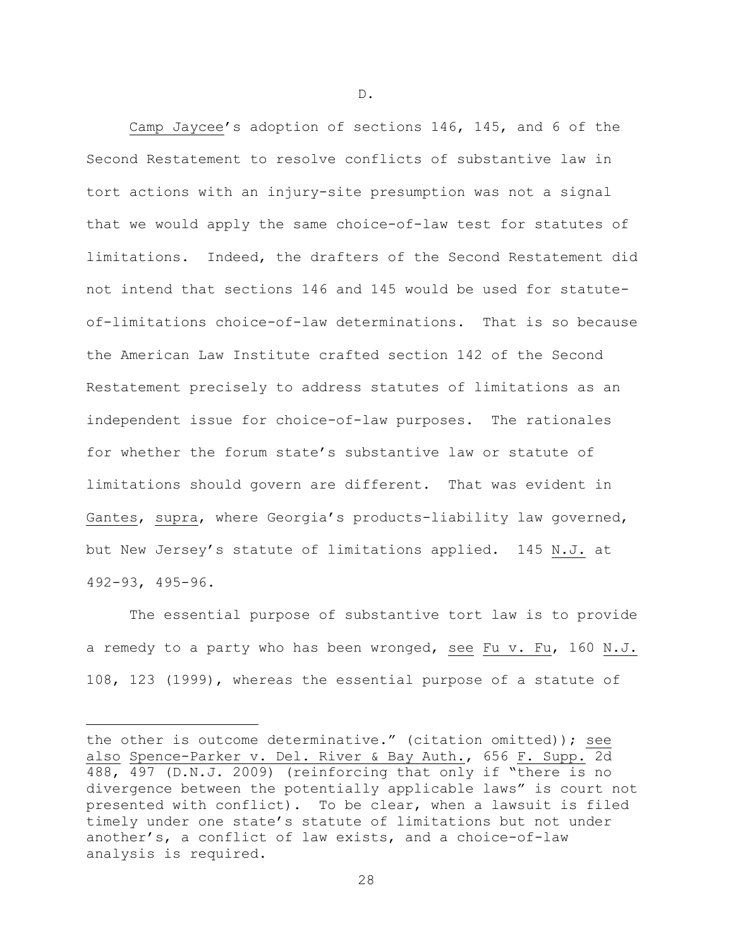Camp Jaycee's adoption of sections 146, 145, and 6 of the Second Restatement to resolve conflicts of substantive law in tort actions with an injury-site presumption was not a signal that we would apply the same choice-of-law test for statutes of limitations. Indeed, the drafters of the Second Restatement did not intend that sections 146 and 145 would be used for statuteof-limitations choice-of-law determinations. That is so because the American Law Institute crafted section 142 of the Second Restatement precisely to address statutes of limitations as an independent issue for choice-of-law purposes. The rationales for whether the forum state's substantive law or statute of limitations should govern are different. That was evident in Gantes, supra, where Georgia's products-liability law governed, but New Jersey's statute of limitations applied. 145 N.J. at 492-93, 495-96.

The essential purpose of substantive tort law is to provide a remedy to a party who has been wronged, see Fu v. Fu, 160 N.J. 108, 123 (1999), whereas the essential purpose of a statute of

i<br>L

D.

the other is outcome determinative." (citation omitted)); see also Spence-Parker v. Del. River & Bay Auth., 656 F. Supp. 2d 488, 497 (D.N.J. 2009) (reinforcing that only if "there is no divergence between the potentially applicable laws" is court not presented with conflict). To be clear, when a lawsuit is filed timely under one state's statute of limitations but not under another's, a conflict of law exists, and a choice-of-law analysis is required.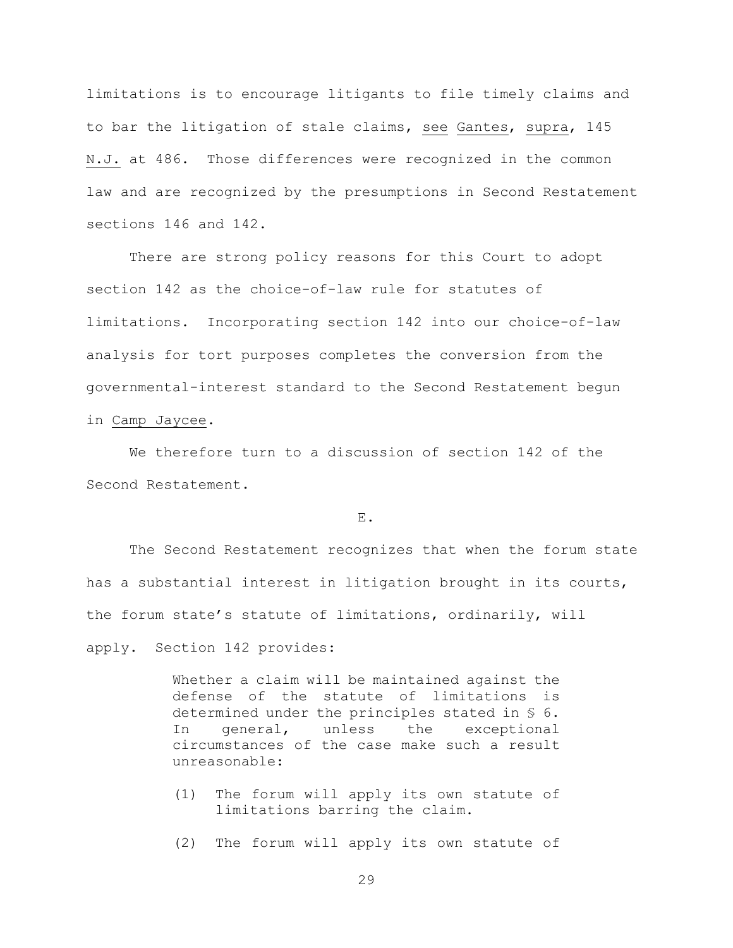limitations is to encourage litigants to file timely claims and to bar the litigation of stale claims, see Gantes, supra, 145 N.J. at 486. Those differences were recognized in the common law and are recognized by the presumptions in Second Restatement sections 146 and 142.

There are strong policy reasons for this Court to adopt section 142 as the choice-of-law rule for statutes of limitations. Incorporating section 142 into our choice-of-law analysis for tort purposes completes the conversion from the governmental-interest standard to the Second Restatement begun in Camp Jaycee.

We therefore turn to a discussion of section 142 of the Second Restatement.

E.

The Second Restatement recognizes that when the forum state has a substantial interest in litigation brought in its courts, the forum state's statute of limitations, ordinarily, will apply. Section 142 provides:

> Whether a claim will be maintained against the defense of the statute of limitations is determined under the principles stated in § 6. In general, unless the exceptional circumstances of the case make such a result unreasonable:

- (1) The forum will apply its own statute of limitations barring the claim.
- (2) The forum will apply its own statute of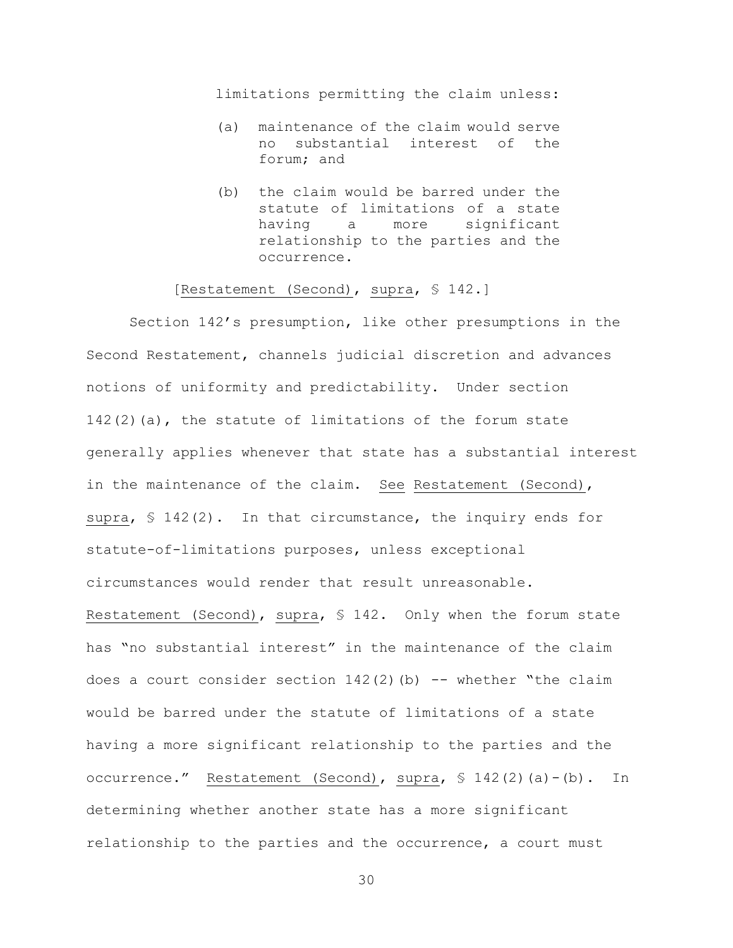limitations permitting the claim unless:

- (a) maintenance of the claim would serve no substantial interest of the forum; and
- (b) the claim would be barred under the statute of limitations of a state having a more significant relationship to the parties and the occurrence.

### [Restatement (Second), supra, § 142.]

Section 142's presumption, like other presumptions in the Second Restatement, channels judicial discretion and advances notions of uniformity and predictability. Under section  $142(2)$  (a), the statute of limitations of the forum state generally applies whenever that state has a substantial interest in the maintenance of the claim. See Restatement (Second), supra,  $\leq 142(2)$ . In that circumstance, the inquiry ends for statute-of-limitations purposes, unless exceptional circumstances would render that result unreasonable. Restatement (Second), supra, § 142. Only when the forum state has "no substantial interest" in the maintenance of the claim does a court consider section  $142(2)$  (b) -- whether "the claim would be barred under the statute of limitations of a state having a more significant relationship to the parties and the occurrence." Restatement (Second), supra, § 142(2)(a)-(b). In determining whether another state has a more significant relationship to the parties and the occurrence, a court must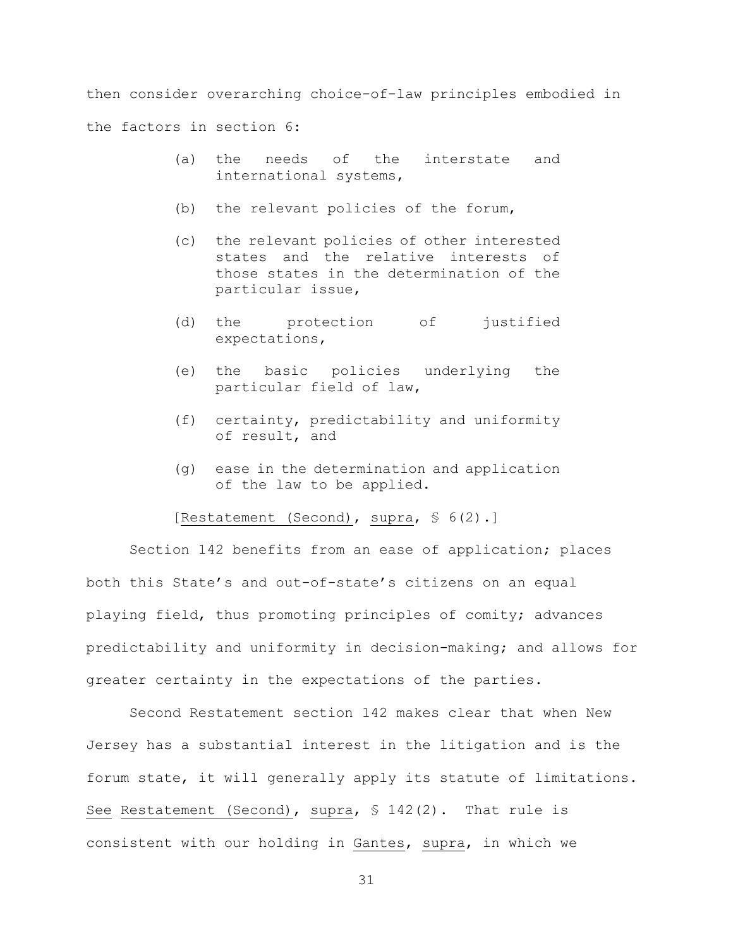then consider overarching choice-of-law principles embodied in the factors in section 6:

- (a) the needs of the interstate and international systems,
- (b) the relevant policies of the forum,
- (c) the relevant policies of other interested states and the relative interests of those states in the determination of the particular issue,
- (d) the protection of justified expectations,
- (e) the basic policies underlying the particular field of law,
- (f) certainty, predictability and uniformity of result, and
- (g) ease in the determination and application of the law to be applied.

[Restatement (Second), supra, § 6(2).]

Section 142 benefits from an ease of application; places both this State's and out-of-state's citizens on an equal playing field, thus promoting principles of comity; advances predictability and uniformity in decision-making; and allows for greater certainty in the expectations of the parties.

Second Restatement section 142 makes clear that when New Jersey has a substantial interest in the litigation and is the forum state, it will generally apply its statute of limitations. See Restatement (Second), supra,  $$142(2)$ . That rule is consistent with our holding in Gantes, supra, in which we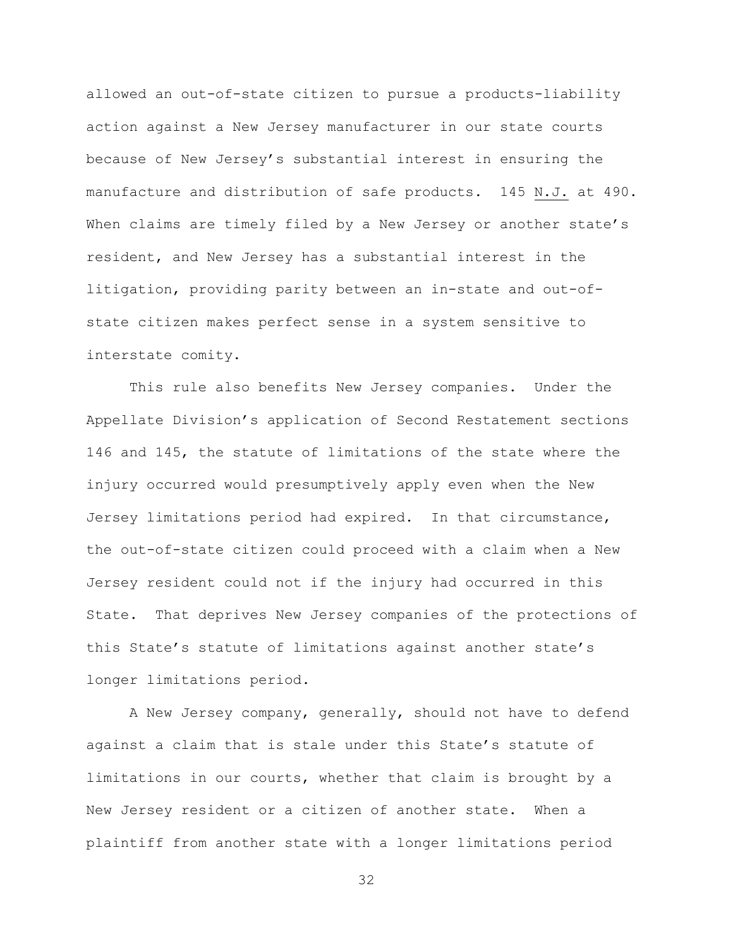allowed an out-of-state citizen to pursue a products-liability action against a New Jersey manufacturer in our state courts because of New Jersey's substantial interest in ensuring the manufacture and distribution of safe products. 145 N.J. at 490. When claims are timely filed by a New Jersey or another state's resident, and New Jersey has a substantial interest in the litigation, providing parity between an in-state and out-ofstate citizen makes perfect sense in a system sensitive to interstate comity.

This rule also benefits New Jersey companies. Under the Appellate Division's application of Second Restatement sections 146 and 145, the statute of limitations of the state where the injury occurred would presumptively apply even when the New Jersey limitations period had expired. In that circumstance, the out-of-state citizen could proceed with a claim when a New Jersey resident could not if the injury had occurred in this State. That deprives New Jersey companies of the protections of this State's statute of limitations against another state's longer limitations period.

A New Jersey company, generally, should not have to defend against a claim that is stale under this State's statute of limitations in our courts, whether that claim is brought by a New Jersey resident or a citizen of another state. When a plaintiff from another state with a longer limitations period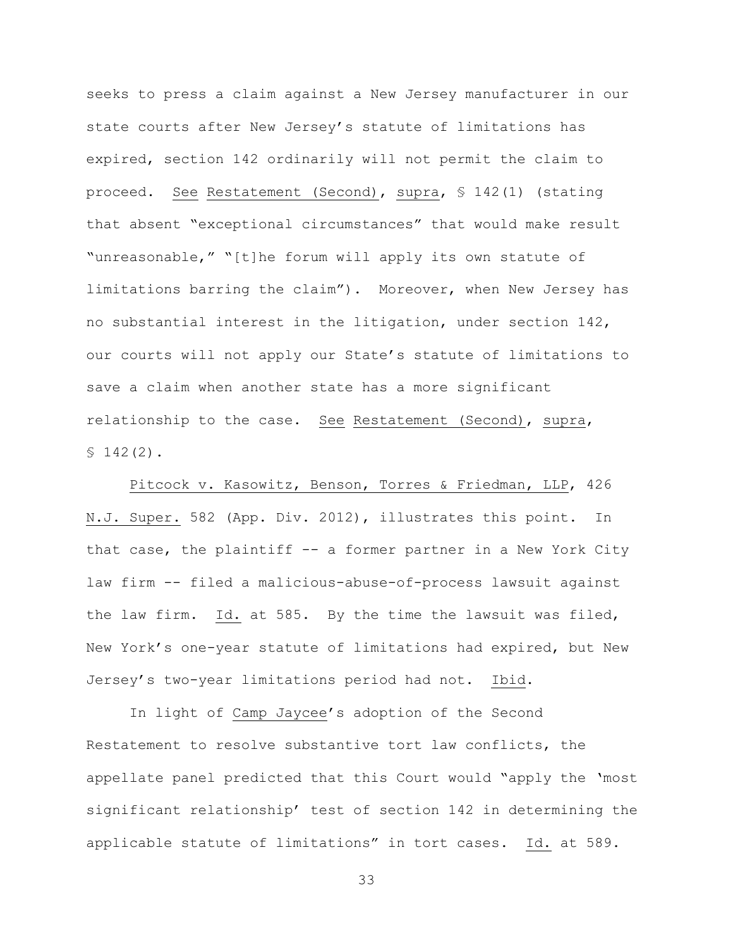seeks to press a claim against a New Jersey manufacturer in our state courts after New Jersey's statute of limitations has expired, section 142 ordinarily will not permit the claim to proceed. See Restatement (Second), supra, § 142(1) (stating that absent "exceptional circumstances" that would make result "unreasonable," "[t]he forum will apply its own statute of limitations barring the claim"). Moreover, when New Jersey has no substantial interest in the litigation, under section 142, our courts will not apply our State's statute of limitations to save a claim when another state has a more significant relationship to the case. See Restatement (Second), supra,  $$142(2)$ .

Pitcock v. Kasowitz, Benson, Torres & Friedman, LLP, 426 N.J. Super. 582 (App. Div. 2012), illustrates this point. In that case, the plaintiff -- a former partner in a New York City law firm -- filed a malicious-abuse-of-process lawsuit against the law firm. Id. at 585. By the time the lawsuit was filed, New York's one-year statute of limitations had expired, but New Jersey's two-year limitations period had not. Ibid.

In light of Camp Jaycee's adoption of the Second Restatement to resolve substantive tort law conflicts, the appellate panel predicted that this Court would "apply the 'most significant relationship' test of section 142 in determining the applicable statute of limitations" in tort cases. Id. at 589.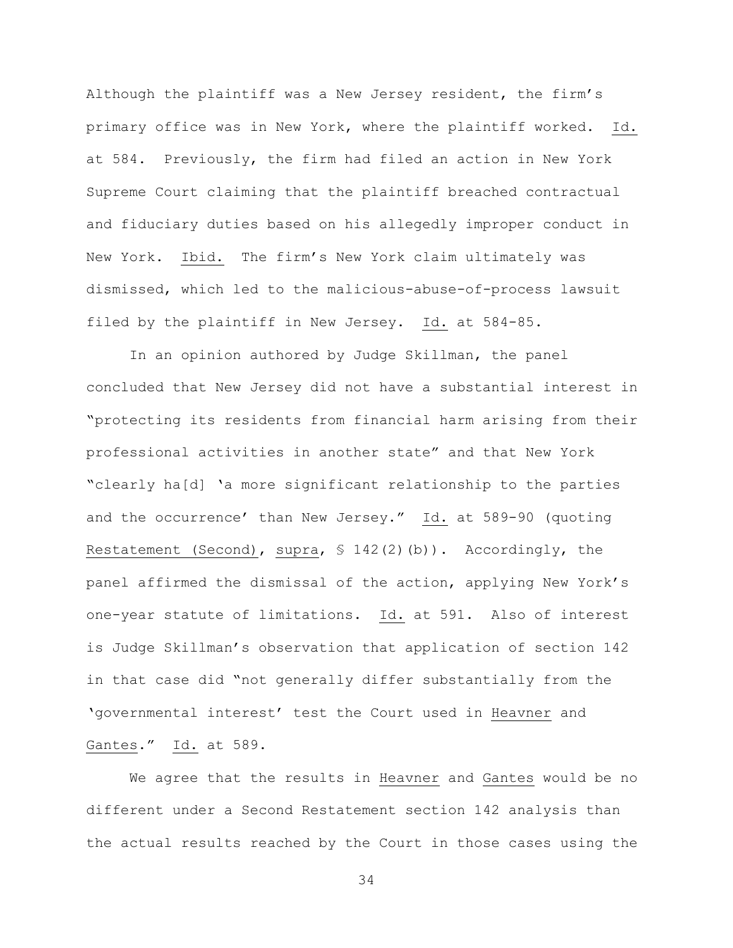Although the plaintiff was a New Jersey resident, the firm's primary office was in New York, where the plaintiff worked. Id. at 584. Previously, the firm had filed an action in New York Supreme Court claiming that the plaintiff breached contractual and fiduciary duties based on his allegedly improper conduct in New York. Ibid. The firm's New York claim ultimately was dismissed, which led to the malicious-abuse-of-process lawsuit filed by the plaintiff in New Jersey. Id. at 584-85.

In an opinion authored by Judge Skillman, the panel concluded that New Jersey did not have a substantial interest in "protecting its residents from financial harm arising from their professional activities in another state" and that New York "clearly ha[d] 'a more significant relationship to the parties and the occurrence' than New Jersey." Id. at 589-90 (quoting Restatement (Second), supra, § 142(2)(b)). Accordingly, the panel affirmed the dismissal of the action, applying New York's one-year statute of limitations. Id. at 591. Also of interest is Judge Skillman's observation that application of section 142 in that case did "not generally differ substantially from the 'governmental interest' test the Court used in Heavner and Gantes." Id. at 589.

We agree that the results in Heavner and Gantes would be no different under a Second Restatement section 142 analysis than the actual results reached by the Court in those cases using the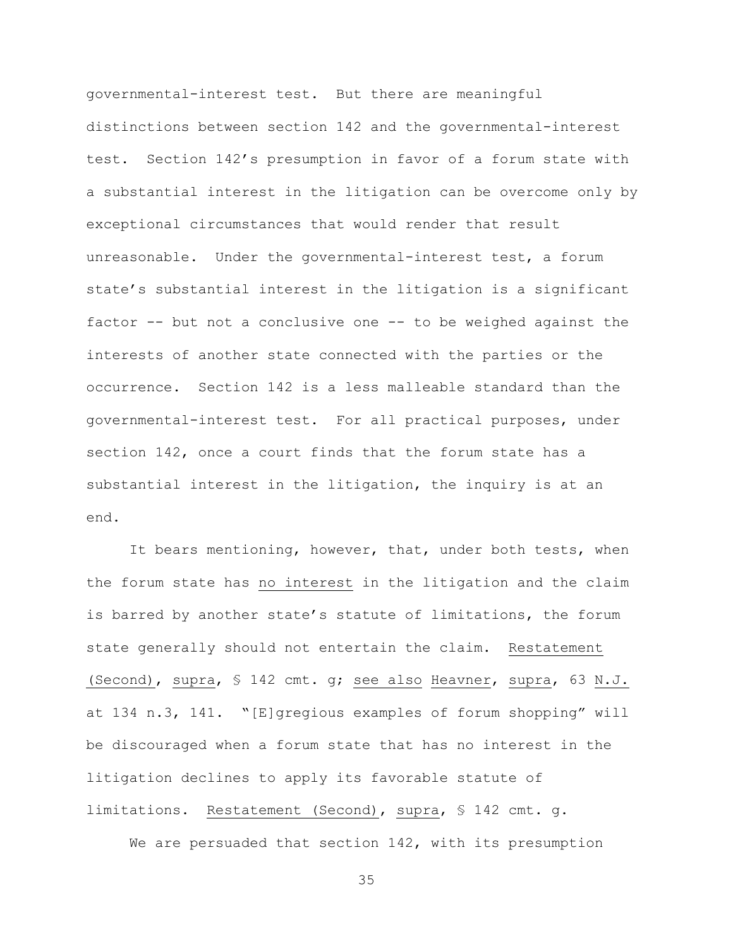governmental-interest test. But there are meaningful distinctions between section 142 and the governmental-interest test. Section 142's presumption in favor of a forum state with a substantial interest in the litigation can be overcome only by exceptional circumstances that would render that result unreasonable. Under the governmental-interest test, a forum state's substantial interest in the litigation is a significant factor -- but not a conclusive one -- to be weighed against the interests of another state connected with the parties or the occurrence. Section 142 is a less malleable standard than the governmental-interest test. For all practical purposes, under section 142, once a court finds that the forum state has a substantial interest in the litigation, the inquiry is at an end.

It bears mentioning, however, that, under both tests, when the forum state has no interest in the litigation and the claim is barred by another state's statute of limitations, the forum state generally should not entertain the claim. Restatement (Second), supra, § 142 cmt. g; see also Heavner, supra, 63 N.J. at 134 n.3, 141. "[E]gregious examples of forum shopping" will be discouraged when a forum state that has no interest in the litigation declines to apply its favorable statute of limitations. Restatement (Second), supra, § 142 cmt. g.

We are persuaded that section 142, with its presumption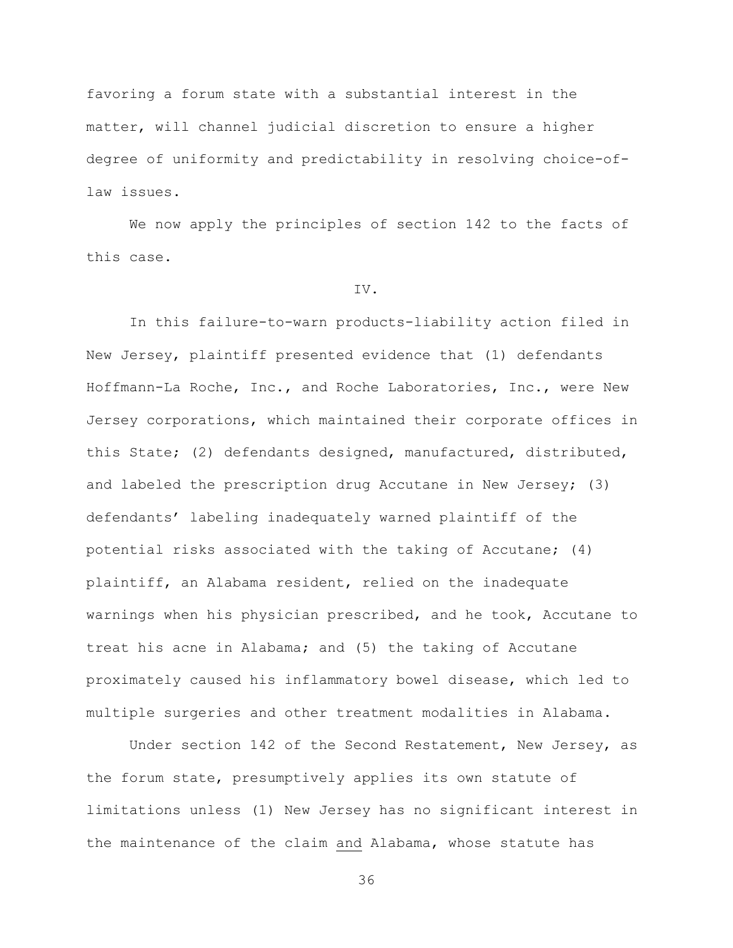favoring a forum state with a substantial interest in the matter, will channel judicial discretion to ensure a higher degree of uniformity and predictability in resolving choice-oflaw issues.

We now apply the principles of section 142 to the facts of this case.

# IV.

In this failure-to-warn products-liability action filed in New Jersey, plaintiff presented evidence that (1) defendants Hoffmann-La Roche, Inc., and Roche Laboratories, Inc., were New Jersey corporations, which maintained their corporate offices in this State; (2) defendants designed, manufactured, distributed, and labeled the prescription drug Accutane in New Jersey; (3) defendants' labeling inadequately warned plaintiff of the potential risks associated with the taking of Accutane; (4) plaintiff, an Alabama resident, relied on the inadequate warnings when his physician prescribed, and he took, Accutane to treat his acne in Alabama; and (5) the taking of Accutane proximately caused his inflammatory bowel disease, which led to multiple surgeries and other treatment modalities in Alabama.

Under section 142 of the Second Restatement, New Jersey, as the forum state, presumptively applies its own statute of limitations unless (1) New Jersey has no significant interest in the maintenance of the claim and Alabama, whose statute has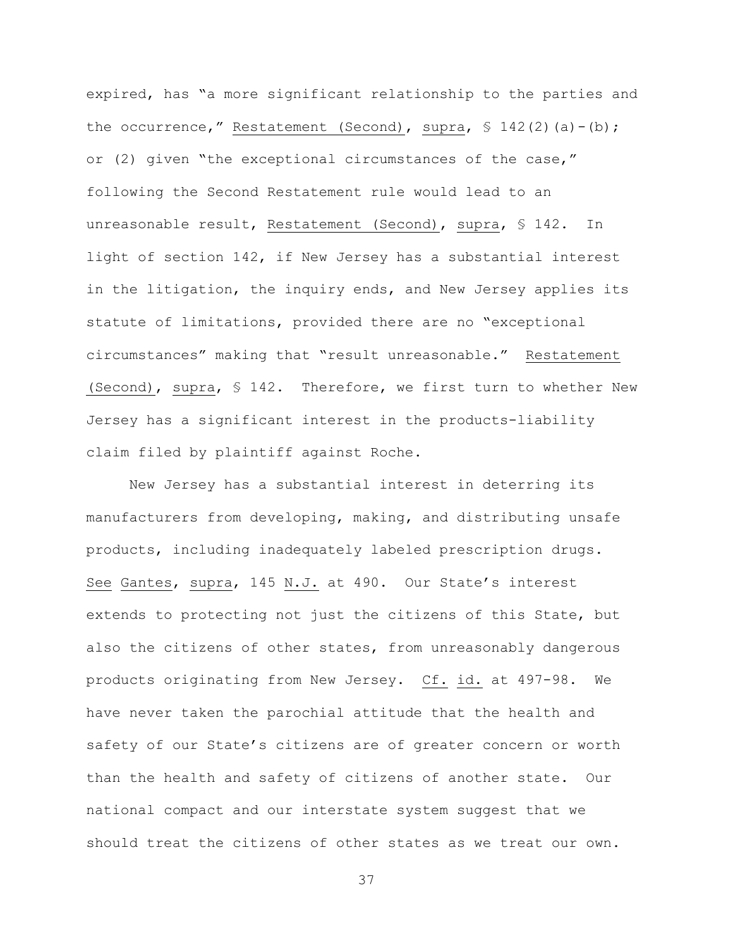expired, has "a more significant relationship to the parties and the occurrence," Restatement (Second), supra,  $\frac{1}{2}$  142(2)(a)-(b); or (2) given "the exceptional circumstances of the case," following the Second Restatement rule would lead to an unreasonable result, Restatement (Second), supra, § 142. In light of section 142, if New Jersey has a substantial interest in the litigation, the inquiry ends, and New Jersey applies its statute of limitations, provided there are no "exceptional circumstances" making that "result unreasonable." Restatement (Second), supra, § 142. Therefore, we first turn to whether New Jersey has a significant interest in the products-liability claim filed by plaintiff against Roche.

New Jersey has a substantial interest in deterring its manufacturers from developing, making, and distributing unsafe products, including inadequately labeled prescription drugs. See Gantes, supra, 145 N.J. at 490. Our State's interest extends to protecting not just the citizens of this State, but also the citizens of other states, from unreasonably dangerous products originating from New Jersey. Cf. id. at 497-98. We have never taken the parochial attitude that the health and safety of our State's citizens are of greater concern or worth than the health and safety of citizens of another state. Our national compact and our interstate system suggest that we should treat the citizens of other states as we treat our own.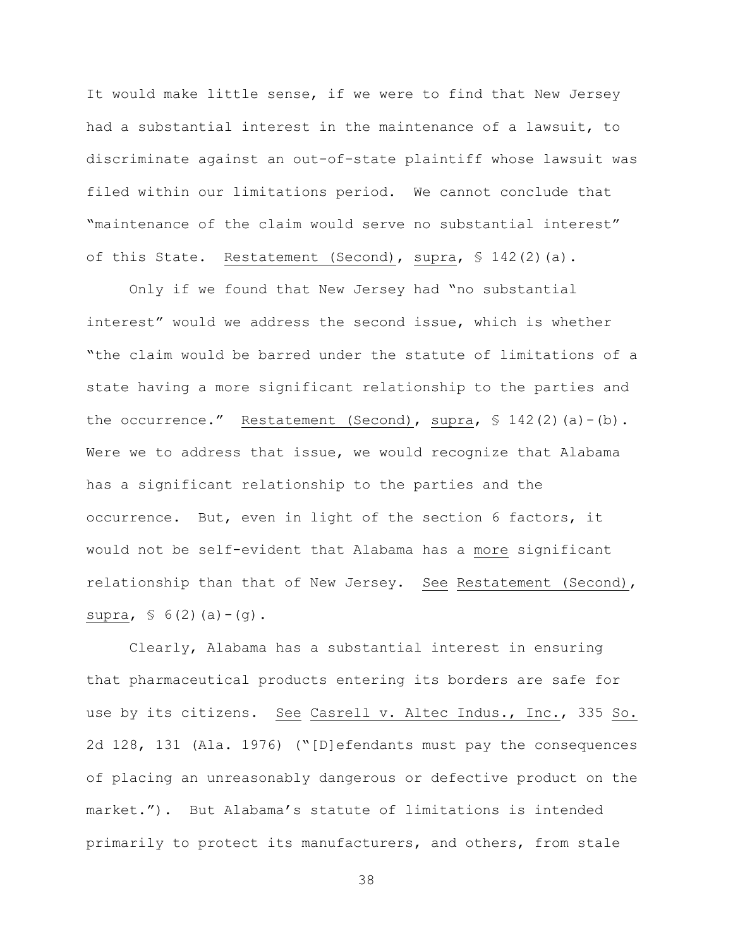It would make little sense, if we were to find that New Jersey had a substantial interest in the maintenance of a lawsuit, to discriminate against an out-of-state plaintiff whose lawsuit was filed within our limitations period. We cannot conclude that "maintenance of the claim would serve no substantial interest" of this State. Restatement (Second), supra,  $$ 142(2)(a)$ .

Only if we found that New Jersey had "no substantial interest" would we address the second issue, which is whether "the claim would be barred under the statute of limitations of a state having a more significant relationship to the parties and the occurrence." Restatement (Second), supra,  $\frac{1}{2}$  142(2)(a)-(b). Were we to address that issue, we would recognize that Alabama has a significant relationship to the parties and the occurrence. But, even in light of the section 6 factors, it would not be self-evident that Alabama has a more significant relationship than that of New Jersey. See Restatement (Second), supra,  $\frac{1}{5}$  6(2)(a)-(q).

Clearly, Alabama has a substantial interest in ensuring that pharmaceutical products entering its borders are safe for use by its citizens. See Casrell v. Altec Indus., Inc., 335 So. 2d 128, 131 (Ala. 1976) ("[D]efendants must pay the consequences of placing an unreasonably dangerous or defective product on the market."). But Alabama's statute of limitations is intended primarily to protect its manufacturers, and others, from stale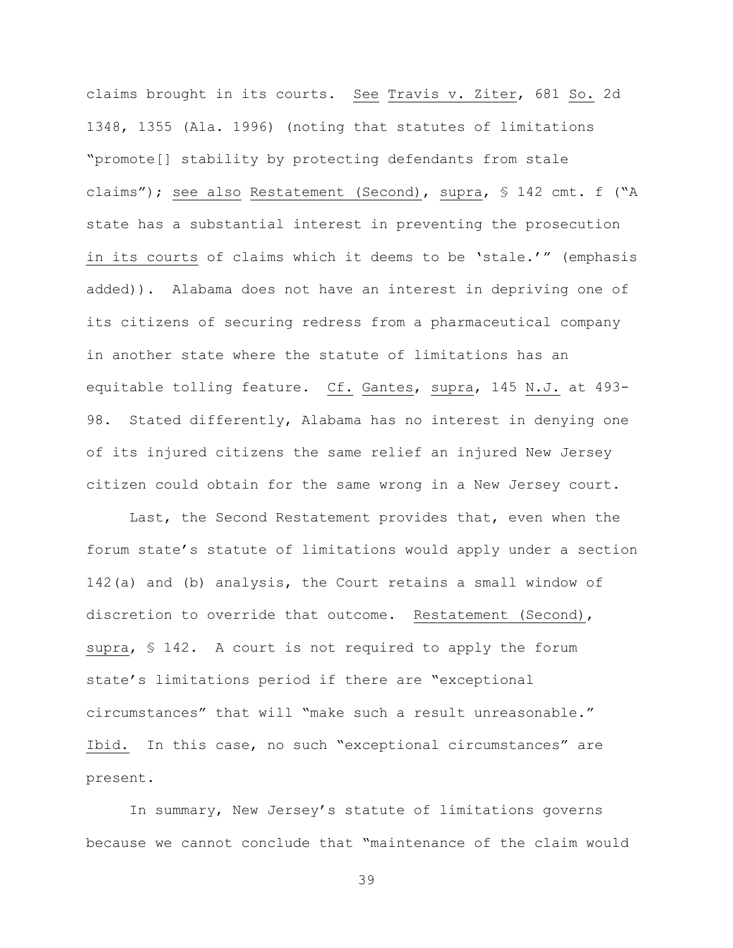claims brought in its courts. See Travis v. Ziter, 681 So. 2d 1348, 1355 (Ala. 1996) (noting that statutes of limitations "promote[] stability by protecting defendants from stale claims"); see also Restatement (Second), supra, § 142 cmt. f ("A state has a substantial interest in preventing the prosecution in its courts of claims which it deems to be 'stale.'" (emphasis added)). Alabama does not have an interest in depriving one of its citizens of securing redress from a pharmaceutical company in another state where the statute of limitations has an equitable tolling feature. Cf. Gantes, supra, 145 N.J. at 493- 98. Stated differently, Alabama has no interest in denying one of its injured citizens the same relief an injured New Jersey citizen could obtain for the same wrong in a New Jersey court.

Last, the Second Restatement provides that, even when the forum state's statute of limitations would apply under a section 142(a) and (b) analysis, the Court retains a small window of discretion to override that outcome. Restatement (Second), supra, § 142. A court is not required to apply the forum state's limitations period if there are "exceptional circumstances" that will "make such a result unreasonable." Ibid. In this case, no such "exceptional circumstances" are present.

In summary, New Jersey's statute of limitations governs because we cannot conclude that "maintenance of the claim would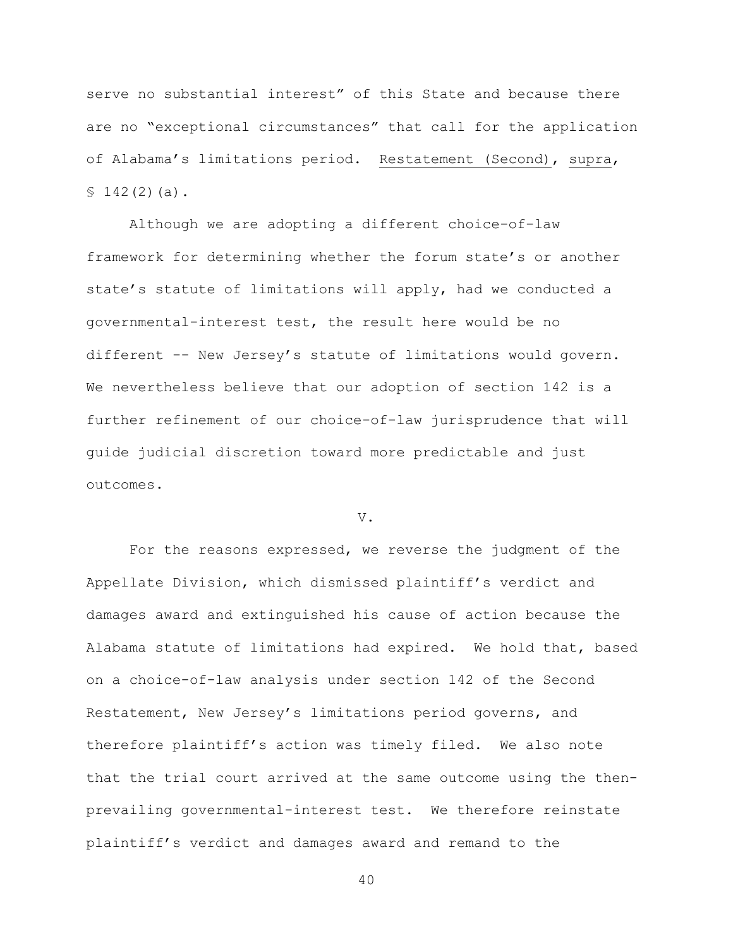serve no substantial interest" of this State and because there are no "exceptional circumstances" that call for the application of Alabama's limitations period. Restatement (Second), supra,  $$142(2)(a).$ 

Although we are adopting a different choice-of-law framework for determining whether the forum state's or another state's statute of limitations will apply, had we conducted a governmental-interest test, the result here would be no different -- New Jersey's statute of limitations would govern. We nevertheless believe that our adoption of section 142 is a further refinement of our choice-of-law jurisprudence that will guide judicial discretion toward more predictable and just outcomes.

### V.

For the reasons expressed, we reverse the judgment of the Appellate Division, which dismissed plaintiff's verdict and damages award and extinguished his cause of action because the Alabama statute of limitations had expired. We hold that, based on a choice-of-law analysis under section 142 of the Second Restatement, New Jersey's limitations period governs, and therefore plaintiff's action was timely filed. We also note that the trial court arrived at the same outcome using the thenprevailing governmental-interest test. We therefore reinstate plaintiff's verdict and damages award and remand to the